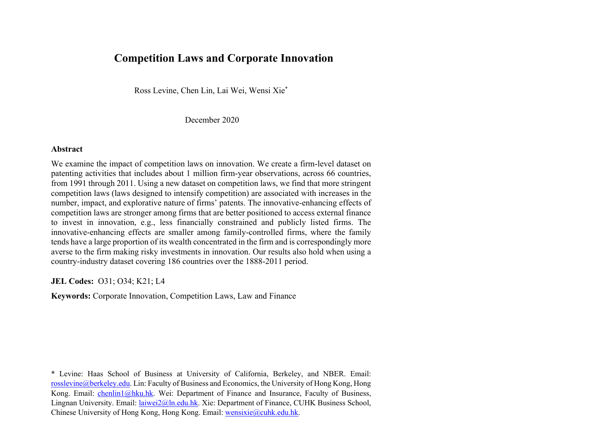## **Competition Laws and Corporate Innovation**

Ross Levine, Chen Lin, Lai Wei, Wensi Xie\*

December 2020

## **Abstract**

We examine the impact of competition laws on innovation. We create a firm-level dataset on patenting activities that includes about 1 million firm-year observations, across 66 countries, from 1991 through 2011. Using a new dataset on competition laws, we find that more stringent competition laws (laws designed to intensify competition) are associated with increases in the number, impact, and explorative nature of firms' patents. The innovative-enhancing effects of competition laws are stronger among firms that are better positioned to access external finance to invest in innovation, e.g., less financially constrained and publicly listed firms. The innovative-enhancing effects are smaller among family-controlled firms, where the family tends have a large proportion of its wealth concentrated in the firm and is correspondingly more averse to the firm making risky investments in innovation. Our results also hold when using a country-industry dataset covering 186 countries over the 1888-2011 period.

**JEL Codes:** O31; O34; K21; L4

**Keywords:** Corporate Innovation, Competition Laws, Law and Finance

\* Levine: Haas School of Business at University of California, Berkeley, and NBER. Email: rosslevine@berkeley.edu. Lin: Faculty of Business and Economics, the University of Hong Kong, Hong Kong. Email: chenlin1@hku.hk. Wei: Department of Finance and Insurance, Faculty of Business, Lingnan University. Email: laiwei2@ln.edu.hk. Xie: Department of Finance, CUHK Business School, Chinese University of Hong Kong, Hong Kong. Email: wensixie@cuhk.edu.hk.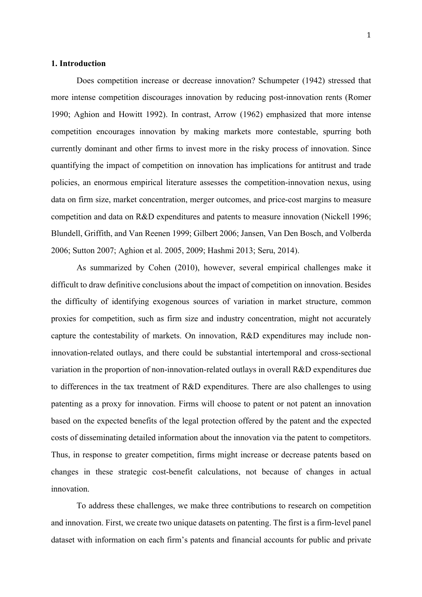#### **1. Introduction**

Does competition increase or decrease innovation? Schumpeter (1942) stressed that more intense competition discourages innovation by reducing post-innovation rents (Romer 1990; Aghion and Howitt 1992). In contrast, Arrow (1962) emphasized that more intense competition encourages innovation by making markets more contestable, spurring both currently dominant and other firms to invest more in the risky process of innovation. Since quantifying the impact of competition on innovation has implications for antitrust and trade policies, an enormous empirical literature assesses the competition-innovation nexus, using data on firm size, market concentration, merger outcomes, and price-cost margins to measure competition and data on R&D expenditures and patents to measure innovation (Nickell 1996; Blundell, Griffith, and Van Reenen 1999; Gilbert 2006; Jansen, Van Den Bosch, and Volberda 2006; Sutton 2007; Aghion et al. 2005, 2009; Hashmi 2013; Seru, 2014).

As summarized by Cohen (2010), however, several empirical challenges make it difficult to draw definitive conclusions about the impact of competition on innovation. Besides the difficulty of identifying exogenous sources of variation in market structure, common proxies for competition, such as firm size and industry concentration, might not accurately capture the contestability of markets. On innovation, R&D expenditures may include noninnovation-related outlays, and there could be substantial intertemporal and cross-sectional variation in the proportion of non-innovation-related outlays in overall R&D expenditures due to differences in the tax treatment of R&D expenditures. There are also challenges to using patenting as a proxy for innovation. Firms will choose to patent or not patent an innovation based on the expected benefits of the legal protection offered by the patent and the expected costs of disseminating detailed information about the innovation via the patent to competitors. Thus, in response to greater competition, firms might increase or decrease patents based on changes in these strategic cost-benefit calculations, not because of changes in actual innovation.

To address these challenges, we make three contributions to research on competition and innovation. First, we create two unique datasets on patenting. The first is a firm-level panel dataset with information on each firm's patents and financial accounts for public and private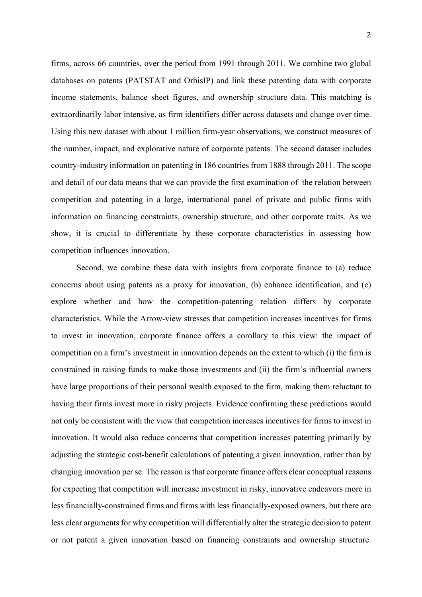firms, across 66 countries, over the period from 1991 through 2011. We combine two global databases on patents (PATSTAT and OrbisIP) and link these patenting data with corporate income statements, balance sheet figures, and ownership structure data. This matching is extraordinarily labor intensive, as firm identifiers differ across datasets and change over time. Using this new dataset with about 1 million firm-year observations, we construct measures of the number, impact, and explorative nature of corporate patents. The second dataset includes country-industry information on patenting in 186 countries from 1888 through 2011. The scope and detail of our data means that we can provide the first examination of the relation between competition and patenting in a large, international panel of private and public firms with information on financing constraints, ownership structure, and other corporate traits. As we show, it is crucial to differentiate by these corporate characteristics in assessing how competition influences innovation.

Second, we combine these data with insights from corporate finance to (a) reduce concerns about using patents as a proxy for innovation, (b) enhance identification, and (c) explore whether and how the competition-patenting relation differs by corporate characteristics. While the Arrow-view stresses that competition increases incentives for firms to invest in innovation, corporate finance offers a corollary to this view: the impact of competition on a firm's investment in innovation depends on the extent to which (i) the firm is constrained in raising funds to make those investments and (ii) the firm's influential owners have large proportions of their personal wealth exposed to the firm, making them reluctant to having their firms invest more in risky projects. Evidence confirming these predictions would not only be consistent with the view that competition increases incentives for firms to invest in innovation. It would also reduce concerns that competition increases patenting primarily by adjusting the strategic cost-benefit calculations of patenting a given innovation, rather than by changing innovation per se. The reason is that corporate finance offers clear conceptual reasons for expecting that competition will increase investment in risky, innovative endeavors more in less financially-constrained firms and firms with less financially-exposed owners, but there are less clear arguments for why competition will differentially alter the strategic decision to patent or not patent a given innovation based on financing constraints and ownership structure.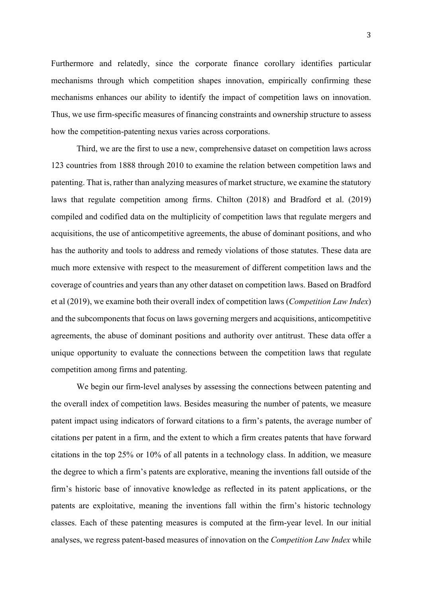Furthermore and relatedly, since the corporate finance corollary identifies particular mechanisms through which competition shapes innovation, empirically confirming these mechanisms enhances our ability to identify the impact of competition laws on innovation. Thus, we use firm-specific measures of financing constraints and ownership structure to assess how the competition-patenting nexus varies across corporations.

Third, we are the first to use a new, comprehensive dataset on competition laws across 123 countries from 1888 through 2010 to examine the relation between competition laws and patenting. That is, rather than analyzing measures of market structure, we examine the statutory laws that regulate competition among firms. Chilton (2018) and Bradford et al. (2019) compiled and codified data on the multiplicity of competition laws that regulate mergers and acquisitions, the use of anticompetitive agreements, the abuse of dominant positions, and who has the authority and tools to address and remedy violations of those statutes. These data are much more extensive with respect to the measurement of different competition laws and the coverage of countries and years than any other dataset on competition laws. Based on Bradford et al (2019), we examine both their overall index of competition laws (*Competition Law Index*) and the subcomponents that focus on laws governing mergers and acquisitions, anticompetitive agreements, the abuse of dominant positions and authority over antitrust. These data offer a unique opportunity to evaluate the connections between the competition laws that regulate competition among firms and patenting.

We begin our firm-level analyses by assessing the connections between patenting and the overall index of competition laws. Besides measuring the number of patents, we measure patent impact using indicators of forward citations to a firm's patents, the average number of citations per patent in a firm, and the extent to which a firm creates patents that have forward citations in the top 25% or 10% of all patents in a technology class. In addition, we measure the degree to which a firm's patents are explorative, meaning the inventions fall outside of the firm's historic base of innovative knowledge as reflected in its patent applications, or the patents are exploitative, meaning the inventions fall within the firm's historic technology classes. Each of these patenting measures is computed at the firm-year level. In our initial analyses, we regress patent-based measures of innovation on the *Competition Law Index* while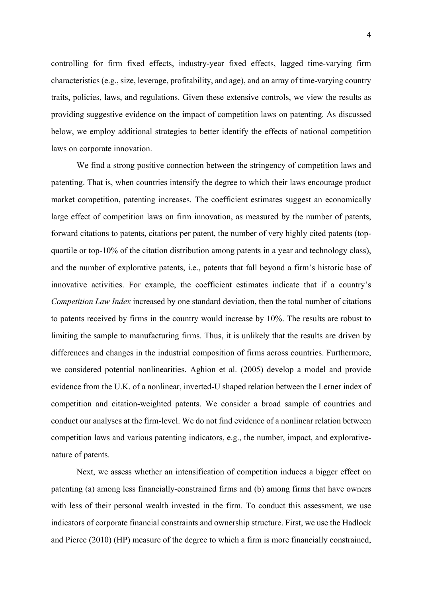controlling for firm fixed effects, industry-year fixed effects, lagged time-varying firm characteristics (e.g., size, leverage, profitability, and age), and an array of time-varying country traits, policies, laws, and regulations. Given these extensive controls, we view the results as providing suggestive evidence on the impact of competition laws on patenting. As discussed below, we employ additional strategies to better identify the effects of national competition laws on corporate innovation.

We find a strong positive connection between the stringency of competition laws and patenting. That is, when countries intensify the degree to which their laws encourage product market competition, patenting increases. The coefficient estimates suggest an economically large effect of competition laws on firm innovation, as measured by the number of patents, forward citations to patents, citations per patent, the number of very highly cited patents (topquartile or top-10% of the citation distribution among patents in a year and technology class), and the number of explorative patents, i.e., patents that fall beyond a firm's historic base of innovative activities. For example, the coefficient estimates indicate that if a country's *Competition Law Index* increased by one standard deviation, then the total number of citations to patents received by firms in the country would increase by 10%. The results are robust to limiting the sample to manufacturing firms. Thus, it is unlikely that the results are driven by differences and changes in the industrial composition of firms across countries. Furthermore, we considered potential nonlinearities. Aghion et al. (2005) develop a model and provide evidence from the U.K. of a nonlinear, inverted-U shaped relation between the Lerner index of competition and citation-weighted patents. We consider a broad sample of countries and conduct our analyses at the firm-level. We do not find evidence of a nonlinear relation between competition laws and various patenting indicators, e.g., the number, impact, and explorativenature of patents.

Next, we assess whether an intensification of competition induces a bigger effect on patenting (a) among less financially-constrained firms and (b) among firms that have owners with less of their personal wealth invested in the firm. To conduct this assessment, we use indicators of corporate financial constraints and ownership structure. First, we use the Hadlock and Pierce (2010) (HP) measure of the degree to which a firm is more financially constrained,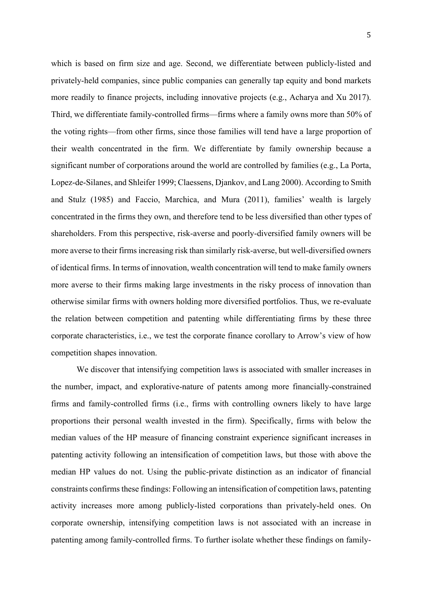which is based on firm size and age. Second, we differentiate between publicly-listed and privately-held companies, since public companies can generally tap equity and bond markets more readily to finance projects, including innovative projects (e.g., Acharya and Xu 2017). Third, we differentiate family-controlled firms—firms where a family owns more than 50% of the voting rights—from other firms, since those families will tend have a large proportion of their wealth concentrated in the firm. We differentiate by family ownership because a significant number of corporations around the world are controlled by families (e.g., La Porta, Lopez-de-Silanes, and Shleifer 1999; Claessens, Djankov, and Lang 2000). According to Smith and Stulz (1985) and Faccio, Marchica, and Mura (2011), families' wealth is largely concentrated in the firms they own, and therefore tend to be less diversified than other types of shareholders. From this perspective, risk-averse and poorly-diversified family owners will be more averse to their firmsincreasing risk than similarly risk-averse, but well-diversified owners of identical firms. In terms of innovation, wealth concentration will tend to make family owners more averse to their firms making large investments in the risky process of innovation than otherwise similar firms with owners holding more diversified portfolios. Thus, we re-evaluate the relation between competition and patenting while differentiating firms by these three corporate characteristics, i.e., we test the corporate finance corollary to Arrow's view of how competition shapes innovation.

We discover that intensifying competition laws is associated with smaller increases in the number, impact, and explorative-nature of patents among more financially-constrained firms and family-controlled firms (i.e., firms with controlling owners likely to have large proportions their personal wealth invested in the firm). Specifically, firms with below the median values of the HP measure of financing constraint experience significant increases in patenting activity following an intensification of competition laws, but those with above the median HP values do not. Using the public-private distinction as an indicator of financial constraints confirms these findings: Following an intensification of competition laws, patenting activity increases more among publicly-listed corporations than privately-held ones. On corporate ownership, intensifying competition laws is not associated with an increase in patenting among family-controlled firms. To further isolate whether these findings on family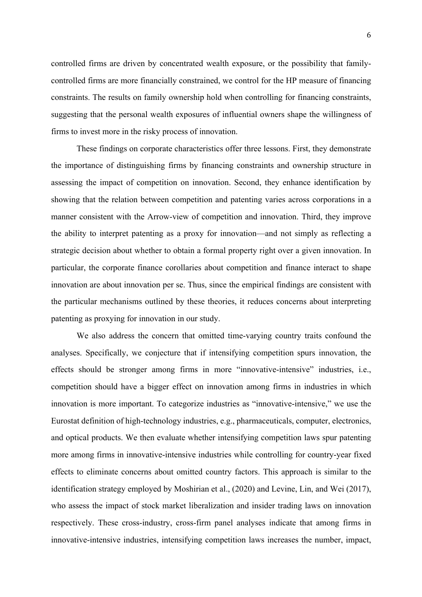controlled firms are driven by concentrated wealth exposure, or the possibility that familycontrolled firms are more financially constrained, we control for the HP measure of financing constraints. The results on family ownership hold when controlling for financing constraints, suggesting that the personal wealth exposures of influential owners shape the willingness of firms to invest more in the risky process of innovation.

These findings on corporate characteristics offer three lessons. First, they demonstrate the importance of distinguishing firms by financing constraints and ownership structure in assessing the impact of competition on innovation. Second, they enhance identification by showing that the relation between competition and patenting varies across corporations in a manner consistent with the Arrow-view of competition and innovation. Third, they improve the ability to interpret patenting as a proxy for innovation—and not simply as reflecting a strategic decision about whether to obtain a formal property right over a given innovation. In particular, the corporate finance corollaries about competition and finance interact to shape innovation are about innovation per se. Thus, since the empirical findings are consistent with the particular mechanisms outlined by these theories, it reduces concerns about interpreting patenting as proxying for innovation in our study.

We also address the concern that omitted time-varying country traits confound the analyses. Specifically, we conjecture that if intensifying competition spurs innovation, the effects should be stronger among firms in more "innovative-intensive" industries, i.e., competition should have a bigger effect on innovation among firms in industries in which innovation is more important. To categorize industries as "innovative-intensive," we use the Eurostat definition of high-technology industries, e.g., pharmaceuticals, computer, electronics, and optical products. We then evaluate whether intensifying competition laws spur patenting more among firms in innovative-intensive industries while controlling for country-year fixed effects to eliminate concerns about omitted country factors. This approach is similar to the identification strategy employed by Moshirian et al., (2020) and Levine, Lin, and Wei (2017), who assess the impact of stock market liberalization and insider trading laws on innovation respectively. These cross-industry, cross-firm panel analyses indicate that among firms in innovative-intensive industries, intensifying competition laws increases the number, impact,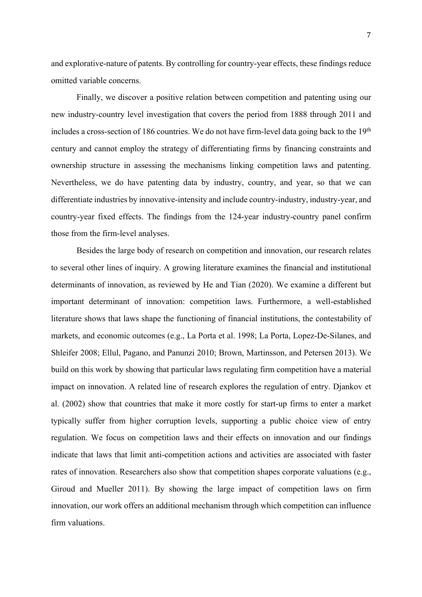and explorative-nature of patents. By controlling for country-year effects, these findings reduce omitted variable concerns.

Finally, we discover a positive relation between competition and patenting using our new industry-country level investigation that covers the period from 1888 through 2011 and includes a cross-section of 186 countries. We do not have firm-level data going back to the 19<sup>th</sup> century and cannot employ the strategy of differentiating firms by financing constraints and ownership structure in assessing the mechanisms linking competition laws and patenting. Nevertheless, we do have patenting data by industry, country, and year, so that we can differentiate industries by innovative-intensity and include country-industry, industry-year, and country-year fixed effects. The findings from the 124-year industry-country panel confirm those from the firm-level analyses.

Besides the large body of research on competition and innovation, our research relates to several other lines of inquiry. A growing literature examines the financial and institutional determinants of innovation, as reviewed by He and Tian (2020). We examine a different but important determinant of innovation: competition laws. Furthermore, a well-established literature shows that laws shape the functioning of financial institutions, the contestability of markets, and economic outcomes (e.g., La Porta et al. 1998; La Porta, Lopez-De-Silanes, and Shleifer 2008; Ellul, Pagano, and Panunzi 2010; Brown, Martinsson, and Petersen 2013). We build on this work by showing that particular laws regulating firm competition have a material impact on innovation. A related line of research explores the regulation of entry. Djankov et al. (2002) show that countries that make it more costly for start-up firms to enter a market typically suffer from higher corruption levels, supporting a public choice view of entry regulation. We focus on competition laws and their effects on innovation and our findings indicate that laws that limit anti-competition actions and activities are associated with faster rates of innovation. Researchers also show that competition shapes corporate valuations (e.g., Giroud and Mueller 2011). By showing the large impact of competition laws on firm innovation, our work offers an additional mechanism through which competition can influence firm valuations.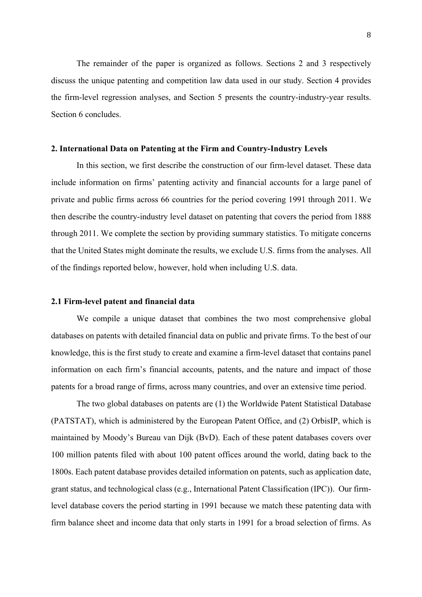The remainder of the paper is organized as follows. Sections 2 and 3 respectively discuss the unique patenting and competition law data used in our study. Section 4 provides the firm-level regression analyses, and Section 5 presents the country-industry-year results. Section 6 concludes.

### **2. International Data on Patenting at the Firm and Country-Industry Levels**

In this section, we first describe the construction of our firm-level dataset. These data include information on firms' patenting activity and financial accounts for a large panel of private and public firms across 66 countries for the period covering 1991 through 2011. We then describe the country-industry level dataset on patenting that covers the period from 1888 through 2011. We complete the section by providing summary statistics. To mitigate concerns that the United States might dominate the results, we exclude U.S. firms from the analyses. All of the findings reported below, however, hold when including U.S. data.

#### **2.1 Firm-level patent and financial data**

We compile a unique dataset that combines the two most comprehensive global databases on patents with detailed financial data on public and private firms. To the best of our knowledge, this is the first study to create and examine a firm-level dataset that contains panel information on each firm's financial accounts, patents, and the nature and impact of those patents for a broad range of firms, across many countries, and over an extensive time period.

The two global databases on patents are (1) the Worldwide Patent Statistical Database (PATSTAT), which is administered by the European Patent Office, and (2) OrbisIP, which is maintained by Moody's Bureau van Dijk (BvD). Each of these patent databases covers over 100 million patents filed with about 100 patent offices around the world, dating back to the 1800s. Each patent database provides detailed information on patents, such as application date, grant status, and technological class (e.g., International Patent Classification (IPC)). Our firmlevel database covers the period starting in 1991 because we match these patenting data with firm balance sheet and income data that only starts in 1991 for a broad selection of firms. As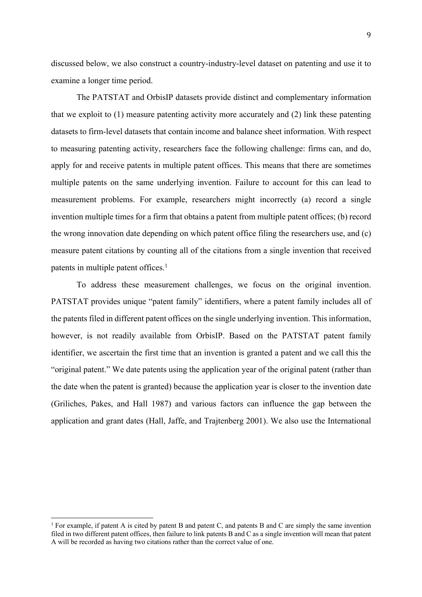discussed below, we also construct a country-industry-level dataset on patenting and use it to examine a longer time period.

The PATSTAT and OrbisIP datasets provide distinct and complementary information that we exploit to (1) measure patenting activity more accurately and (2) link these patenting datasets to firm-level datasets that contain income and balance sheet information. With respect to measuring patenting activity, researchers face the following challenge: firms can, and do, apply for and receive patents in multiple patent offices. This means that there are sometimes multiple patents on the same underlying invention. Failure to account for this can lead to measurement problems. For example, researchers might incorrectly (a) record a single invention multiple times for a firm that obtains a patent from multiple patent offices; (b) record the wrong innovation date depending on which patent office filing the researchers use, and (c) measure patent citations by counting all of the citations from a single invention that received patents in multiple patent offices.<sup>1</sup>

To address these measurement challenges, we focus on the original invention. PATSTAT provides unique "patent family" identifiers, where a patent family includes all of the patents filed in different patent offices on the single underlying invention. This information, however, is not readily available from OrbisIP. Based on the PATSTAT patent family identifier, we ascertain the first time that an invention is granted a patent and we call this the "original patent." We date patents using the application year of the original patent (rather than the date when the patent is granted) because the application year is closer to the invention date (Griliches, Pakes, and Hall 1987) and various factors can influence the gap between the application and grant dates (Hall, Jaffe, and Trajtenberg 2001). We also use the International

<sup>&</sup>lt;sup>1</sup> For example, if patent A is cited by patent B and patent C, and patents B and C are simply the same invention filed in two different patent offices, then failure to link patents B and C as a single invention will mean that patent A will be recorded as having two citations rather than the correct value of one.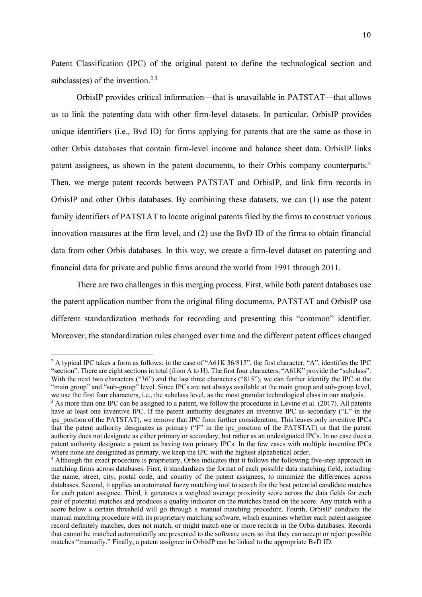Patent Classification (IPC) of the original patent to define the technological section and subclass(es) of the invention.<sup>2,3</sup>

OrbisIP provides critical information—that is unavailable in PATSTAT—that allows us to link the patenting data with other firm-level datasets. In particular, OrbisIP provides unique identifiers (i.e., Bvd ID) for firms applying for patents that are the same as those in other Orbis databases that contain firm-level income and balance sheet data. OrbisIP links patent assignees, as shown in the patent documents, to their Orbis company counterparts.<sup>4</sup> Then, we merge patent records between PATSTAT and OrbisIP, and link firm records in OrbisIP and other Orbis databases. By combining these datasets, we can (1) use the patent family identifiers of PATSTAT to locate original patents filed by the firms to construct various innovation measures at the firm level, and (2) use the BvD ID of the firms to obtain financial data from other Orbis databases. In this way, we create a firm-level dataset on patenting and financial data for private and public firms around the world from 1991 through 2011.

There are two challenges in this merging process. First, while both patent databases use the patent application number from the original filing documents, PATSTAT and OrbisIP use different standardization methods for recording and presenting this "common" identifier. Moreover, the standardization rules changed over time and the different patent offices changed

<sup>&</sup>lt;sup>2</sup> A typical IPC takes a form as follows: in the case of "A61K 36/815", the first character, "A", identifies the IPC "section". There are eight sections in total (from A to H). The first four characters, "A61K" provide the "subclass". With the next two characters ("36") and the last three characters ("815"), we can further identify the IPC at the "main group" and "sub-group" level. Since IPCs are not always available at the main group and sub-group level, we use the first four characters, i.e., the subclass level, as the most granular technological class in our analysis.

<sup>&</sup>lt;sup>3</sup> As more than one IPC can be assigned to a patent, we follow the procedures in Levine et al. (2017). All patents have at least one inventive IPC. If the patent authority designates an inventive IPC as secondary ("L" in the ipc position of the PATSTAT), we remove that IPC from further consideration. This leaves only inventive IPCs that the patent authority designates as primary ("F" in the ipc\_position of the PATSTAT) or that the patent authority does not designate as either primary or secondary, but rather as an undesignated IPCs. In no case does a patent authority designate a patent as having two primary IPCs. In the few cases with multiple inventive IPCs where none are designated as primary, we keep the IPC with the highest alphabetical order.<br><sup>4</sup> Although the exact procedure is proprietary, Orbis indicates that it follows the following five-step approach in

matching firms across databases. First, it standardizes the format of each possible data matching field, including the name, street, city, postal code, and country of the patent assignees, to minimize the differences across databases. Second, it applies an automated fuzzy matching tool to search for the best potential candidate matches for each patent assignee. Third, it generates a weighted average proximity score across the data fields for each pair of potential matches and produces a quality indicator on the matches based on the score. Any match with a score below a certain threshold will go through a manual matching procedure. Fourth, OrbisIP conducts the manual matching procedure with its proprietary matching software, which examines whether each patent assignee record definitely matches, does not match, or might match one or more records in the Orbis databases. Records that cannot be matched automatically are presented to the software users so that they can accept or reject possible matches "manually." Finally, a patent assignee in OrbisIP can be linked to the appropriate BvD ID.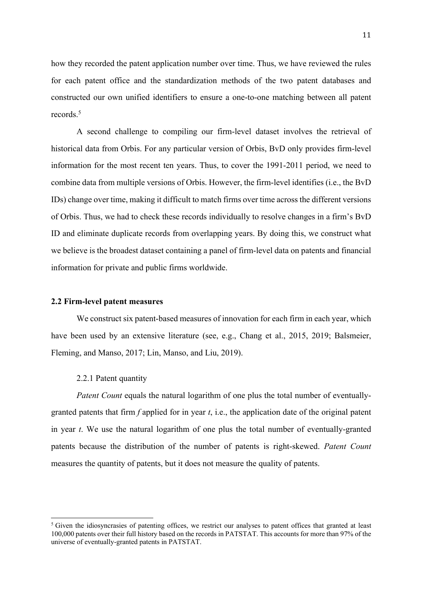how they recorded the patent application number over time. Thus, we have reviewed the rules for each patent office and the standardization methods of the two patent databases and constructed our own unified identifiers to ensure a one-to-one matching between all patent records.5

A second challenge to compiling our firm-level dataset involves the retrieval of historical data from Orbis. For any particular version of Orbis, BvD only provides firm-level information for the most recent ten years. Thus, to cover the 1991-2011 period, we need to combine data from multiple versions of Orbis. However, the firm-level identifies (i.e., the BvD IDs) change over time, making it difficult to match firms over time across the different versions of Orbis. Thus, we had to check these records individually to resolve changes in a firm's BvD ID and eliminate duplicate records from overlapping years. By doing this, we construct what we believe is the broadest dataset containing a panel of firm-level data on patents and financial information for private and public firms worldwide.

#### **2.2 Firm-level patent measures**

We construct six patent-based measures of innovation for each firm in each year, which have been used by an extensive literature (see, e.g., Chang et al., 2015, 2019; Balsmeier, Fleming, and Manso, 2017; Lin, Manso, and Liu, 2019).

#### 2.2.1 Patent quantity

*Patent Count* equals the natural logarithm of one plus the total number of eventuallygranted patents that firm *f* applied for in year *t*, i.e., the application date of the original patent in year *t*. We use the natural logarithm of one plus the total number of eventually-granted patents because the distribution of the number of patents is right-skewed. *Patent Count* measures the quantity of patents, but it does not measure the quality of patents.

 $<sup>5</sup>$  Given the idiosyncrasies of patenting offices, we restrict our analyses to patent offices that granted at least</sup> 100,000 patents over their full history based on the records in PATSTAT. This accounts for more than 97% of the universe of eventually-granted patents in PATSTAT.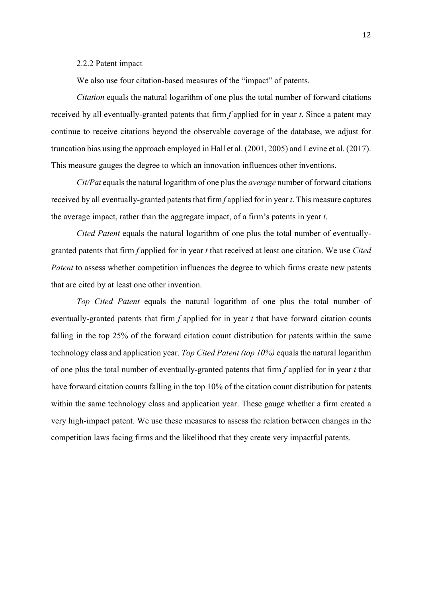#### 2.2.2 Patent impact

We also use four citation-based measures of the "impact" of patents.

*Citation* equals the natural logarithm of one plus the total number of forward citations received by all eventually-granted patents that firm *f* applied for in year *t*. Since a patent may continue to receive citations beyond the observable coverage of the database, we adjust for truncation bias using the approach employed in Hall et al. (2001, 2005) and Levine et al. (2017). This measure gauges the degree to which an innovation influences other inventions.

*Cit/Pat* equals the natural logarithm of one plus the *average* number of forward citations received by all eventually-granted patents that firm *f* applied for in year *t*. This measure captures the average impact, rather than the aggregate impact, of a firm's patents in year *t*.

*Cited Patent* equals the natural logarithm of one plus the total number of eventuallygranted patents that firm *f* applied for in year *t* that received at least one citation. We use *Cited Patent* to assess whether competition influences the degree to which firms create new patents that are cited by at least one other invention.

*Top Cited Patent* equals the natural logarithm of one plus the total number of eventually-granted patents that firm *f* applied for in year *t* that have forward citation counts falling in the top 25% of the forward citation count distribution for patents within the same technology class and application year. *Top Cited Patent (top 10%)* equals the natural logarithm of one plus the total number of eventually-granted patents that firm *f* applied for in year *t* that have forward citation counts falling in the top 10% of the citation count distribution for patents within the same technology class and application year. These gauge whether a firm created a very high-impact patent. We use these measures to assess the relation between changes in the competition laws facing firms and the likelihood that they create very impactful patents.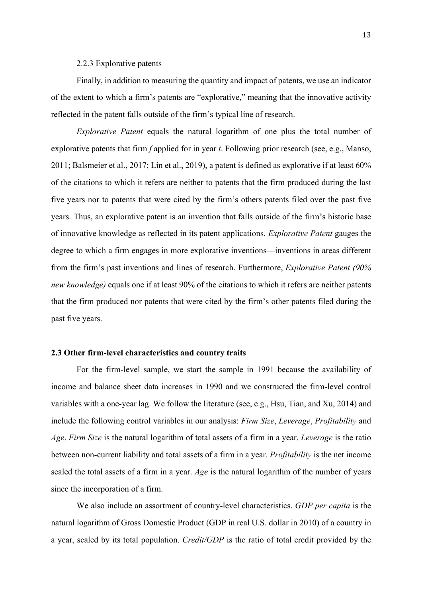#### 2.2.3 Explorative patents

Finally, in addition to measuring the quantity and impact of patents, we use an indicator of the extent to which a firm's patents are "explorative," meaning that the innovative activity reflected in the patent falls outside of the firm's typical line of research.

*Explorative Patent* equals the natural logarithm of one plus the total number of explorative patents that firm *f* applied for in year *t*. Following prior research (see, e.g., Manso, 2011; Balsmeier et al., 2017; Lin et al., 2019), a patent is defined as explorative if at least 60% of the citations to which it refers are neither to patents that the firm produced during the last five years nor to patents that were cited by the firm's others patents filed over the past five years. Thus, an explorative patent is an invention that falls outside of the firm's historic base of innovative knowledge as reflected in its patent applications. *Explorative Patent* gauges the degree to which a firm engages in more explorative inventions—inventions in areas different from the firm's past inventions and lines of research. Furthermore, *Explorative Patent (90% new knowledge)* equals one if at least 90% of the citations to which it refers are neither patents that the firm produced nor patents that were cited by the firm's other patents filed during the past five years.

## **2.3 Other firm-level characteristics and country traits**

For the firm-level sample, we start the sample in 1991 because the availability of income and balance sheet data increases in 1990 and we constructed the firm-level control variables with a one-year lag. We follow the literature (see, e.g., Hsu, Tian, and Xu, 2014) and include the following control variables in our analysis: *Firm Size*, *Leverage*, *Profitability* and *Age*. *Firm Size* is the natural logarithm of total assets of a firm in a year. *Leverage* is the ratio between non-current liability and total assets of a firm in a year. *Profitability* is the net income scaled the total assets of a firm in a year. *Age* is the natural logarithm of the number of years since the incorporation of a firm.

We also include an assortment of country-level characteristics. *GDP per capita* is the natural logarithm of Gross Domestic Product (GDP in real U.S. dollar in 2010) of a country in a year, scaled by its total population. *Credit/GDP* is the ratio of total credit provided by the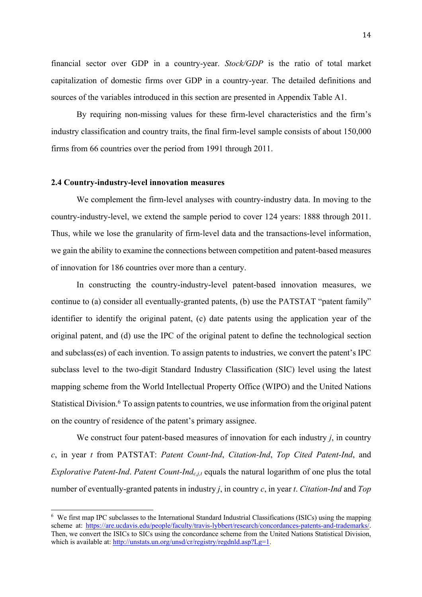financial sector over GDP in a country-year. *Stock/GDP* is the ratio of total market capitalization of domestic firms over GDP in a country-year. The detailed definitions and sources of the variables introduced in this section are presented in Appendix Table A1.

By requiring non-missing values for these firm-level characteristics and the firm's industry classification and country traits, the final firm-level sample consists of about 150,000 firms from 66 countries over the period from 1991 through 2011.

## **2.4 Country-industry-level innovation measures**

We complement the firm-level analyses with country-industry data. In moving to the country-industry-level, we extend the sample period to cover 124 years: 1888 through 2011. Thus, while we lose the granularity of firm-level data and the transactions-level information, we gain the ability to examine the connections between competition and patent-based measures of innovation for 186 countries over more than a century.

In constructing the country-industry-level patent-based innovation measures, we continue to (a) consider all eventually-granted patents, (b) use the PATSTAT "patent family" identifier to identify the original patent, (c) date patents using the application year of the original patent, and (d) use the IPC of the original patent to define the technological section and subclass(es) of each invention. To assign patents to industries, we convert the patent's IPC subclass level to the two-digit Standard Industry Classification (SIC) level using the latest mapping scheme from the World Intellectual Property Office (WIPO) and the United Nations Statistical Division.<sup>6</sup> To assign patents to countries, we use information from the original patent on the country of residence of the patent's primary assignee.

We construct four patent-based measures of innovation for each industry *j*, in country *c*, in year *t* from PATSTAT: *Patent Count-Ind*, *Citation-Ind*, *Top Cited Patent-Ind*, and *Explorative Patent-Ind. Patent Count-Ind<sub>c,j,t</sub>* equals the natural logarithm of one plus the total number of eventually-granted patents in industry *j*, in country *c*, in year *t*. *Citation-Ind* and *Top* 

<sup>&</sup>lt;sup>6</sup> We first map IPC subclasses to the International Standard Industrial Classifications (ISICs) using the mapping scheme at: https://are.ucdavis.edu/people/faculty/travis-lybbert/research/concordances-patents-and-trademarks/. Then, we convert the ISICs to SICs using the concordance scheme from the United Nations Statistical Division, which is available at: http://unstats.un.org/unsd/cr/registry/regdnld.asp?Lg=1.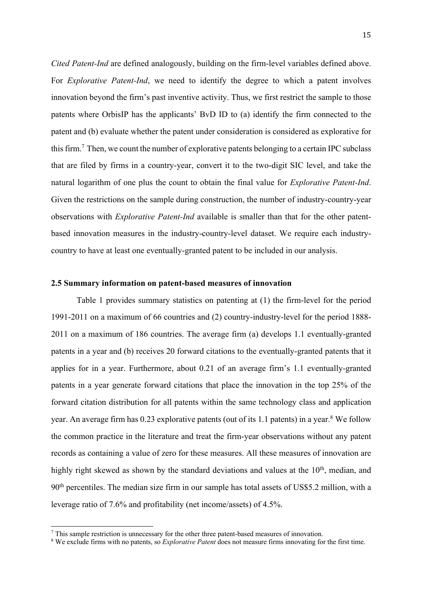*Cited Patent-Ind* are defined analogously, building on the firm-level variables defined above. For *Explorative Patent-Ind*, we need to identify the degree to which a patent involves innovation beyond the firm's past inventive activity. Thus, we first restrict the sample to those patents where OrbisIP has the applicants' BvD ID to (a) identify the firm connected to the patent and (b) evaluate whether the patent under consideration is considered as explorative for this firm.<sup>7</sup> Then, we count the number of explorative patents belonging to a certain IPC subclass that are filed by firms in a country-year, convert it to the two-digit SIC level, and take the natural logarithm of one plus the count to obtain the final value for *Explorative Patent-Ind*. Given the restrictions on the sample during construction, the number of industry-country-year observations with *Explorative Patent-Ind* available is smaller than that for the other patentbased innovation measures in the industry-country-level dataset. We require each industrycountry to have at least one eventually-granted patent to be included in our analysis.

#### **2.5 Summary information on patent-based measures of innovation**

Table 1 provides summary statistics on patenting at (1) the firm-level for the period 1991-2011 on a maximum of 66 countries and (2) country-industry-level for the period 1888- 2011 on a maximum of 186 countries. The average firm (a) develops 1.1 eventually-granted patents in a year and (b) receives 20 forward citations to the eventually-granted patents that it applies for in a year. Furthermore, about 0.21 of an average firm's 1.1 eventually-granted patents in a year generate forward citations that place the innovation in the top 25% of the forward citation distribution for all patents within the same technology class and application year. An average firm has 0.23 explorative patents (out of its 1.1 patents) in a year. <sup>8</sup> We follow the common practice in the literature and treat the firm-year observations without any patent records as containing a value of zero for these measures. All these measures of innovation are highly right skewed as shown by the standard deviations and values at the  $10<sup>th</sup>$ , median, and 90<sup>th</sup> percentiles. The median size firm in our sample has total assets of US\$5.2 million, with a leverage ratio of 7.6% and profitability (net income/assets) of 4.5%.

<sup>7</sup> This sample restriction is unnecessary for the other three patent-based measures of innovation.

<sup>8</sup> We exclude firms with no patents, so *Explorative Patent* does not measure firms innovating for the first time.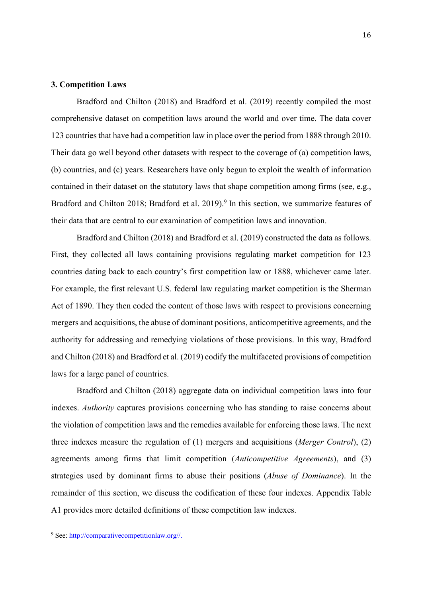## **3. Competition Laws**

Bradford and Chilton (2018) and Bradford et al. (2019) recently compiled the most comprehensive dataset on competition laws around the world and over time. The data cover 123 countries that have had a competition law in place over the period from 1888 through 2010. Their data go well beyond other datasets with respect to the coverage of (a) competition laws, (b) countries, and (c) years. Researchers have only begun to exploit the wealth of information contained in their dataset on the statutory laws that shape competition among firms (see, e.g., Bradford and Chilton 2018; Bradford et al. 2019).<sup>9</sup> In this section, we summarize features of their data that are central to our examination of competition laws and innovation.

Bradford and Chilton (2018) and Bradford et al. (2019) constructed the data as follows. First, they collected all laws containing provisions regulating market competition for 123 countries dating back to each country's first competition law or 1888, whichever came later. For example, the first relevant U.S. federal law regulating market competition is the Sherman Act of 1890. They then coded the content of those laws with respect to provisions concerning mergers and acquisitions, the abuse of dominant positions, anticompetitive agreements, and the authority for addressing and remedying violations of those provisions. In this way, Bradford and Chilton (2018) and Bradford et al. (2019) codify the multifaceted provisions of competition laws for a large panel of countries.

Bradford and Chilton (2018) aggregate data on individual competition laws into four indexes. *Authority* captures provisions concerning who has standing to raise concerns about the violation of competition laws and the remedies available for enforcing those laws. The next three indexes measure the regulation of (1) mergers and acquisitions (*Merger Control*), (2) agreements among firms that limit competition (*Anticompetitive Agreements*), and (3) strategies used by dominant firms to abuse their positions (*Abuse of Dominance*). In the remainder of this section, we discuss the codification of these four indexes. Appendix Table A1 provides more detailed definitions of these competition law indexes.

<sup>9</sup> See: http://comparativecompetitionlaw.org//.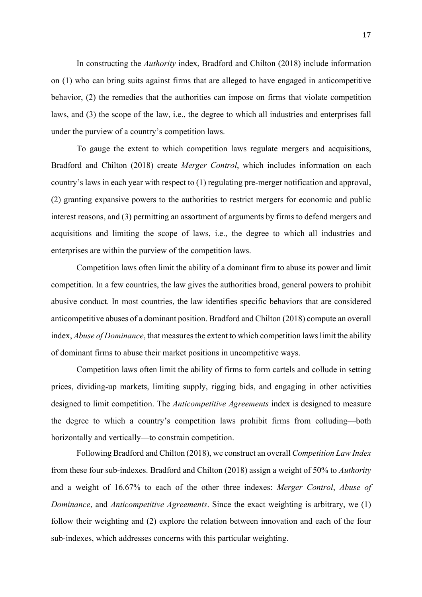In constructing the *Authority* index, Bradford and Chilton (2018) include information on (1) who can bring suits against firms that are alleged to have engaged in anticompetitive behavior, (2) the remedies that the authorities can impose on firms that violate competition laws, and (3) the scope of the law, i.e., the degree to which all industries and enterprises fall under the purview of a country's competition laws.

To gauge the extent to which competition laws regulate mergers and acquisitions, Bradford and Chilton (2018) create *Merger Control*, which includes information on each country's laws in each year with respect to (1) regulating pre-merger notification and approval, (2) granting expansive powers to the authorities to restrict mergers for economic and public interest reasons, and (3) permitting an assortment of arguments by firms to defend mergers and acquisitions and limiting the scope of laws, i.e., the degree to which all industries and enterprises are within the purview of the competition laws.

Competition laws often limit the ability of a dominant firm to abuse its power and limit competition. In a few countries, the law gives the authorities broad, general powers to prohibit abusive conduct. In most countries, the law identifies specific behaviors that are considered anticompetitive abuses of a dominant position. Bradford and Chilton (2018) compute an overall index, *Abuse of Dominance*, that measures the extent to which competition laws limit the ability of dominant firms to abuse their market positions in uncompetitive ways.

Competition laws often limit the ability of firms to form cartels and collude in setting prices, dividing-up markets, limiting supply, rigging bids, and engaging in other activities designed to limit competition. The *Anticompetitive Agreements* index is designed to measure the degree to which a country's competition laws prohibit firms from colluding—both horizontally and vertically—to constrain competition.

Following Bradford and Chilton (2018), we construct an overall *Competition Law Index* from these four sub-indexes. Bradford and Chilton (2018) assign a weight of 50% to *Authority* and a weight of 16.67% to each of the other three indexes: *Merger Control*, *Abuse of Dominance*, and *Anticompetitive Agreements*. Since the exact weighting is arbitrary, we (1) follow their weighting and (2) explore the relation between innovation and each of the four sub-indexes, which addresses concerns with this particular weighting.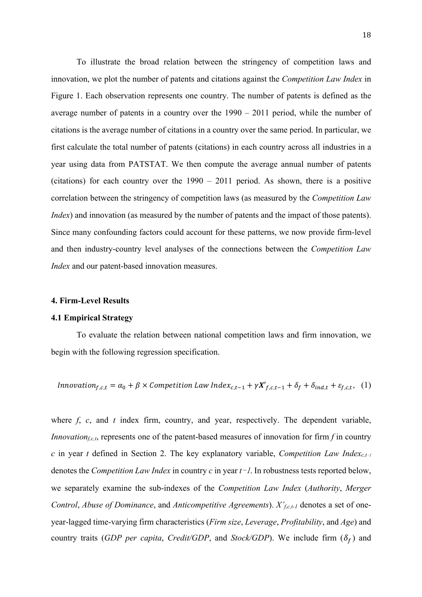To illustrate the broad relation between the stringency of competition laws and innovation, we plot the number of patents and citations against the *Competition Law Index* in Figure 1. Each observation represents one country. The number of patents is defined as the average number of patents in a country over the 1990 – 2011 period, while the number of citations is the average number of citations in a country over the same period. In particular, we first calculate the total number of patents (citations) in each country across all industries in a year using data from PATSTAT. We then compute the average annual number of patents (citations) for each country over the 1990 – 2011 period. As shown, there is a positive correlation between the stringency of competition laws (as measured by the *Competition Law Index*) and innovation (as measured by the number of patents and the impact of those patents). Since many confounding factors could account for these patterns, we now provide firm-level and then industry-country level analyses of the connections between the *Competition Law Index* and our patent-based innovation measures.

## **4. Firm-Level Results**

#### **4.1 Empirical Strategy**

To evaluate the relation between national competition laws and firm innovation, we begin with the following regression specification.

*Innovation*<sub>f,c,t</sub> = 
$$
\alpha_0 + \beta \times
$$
 *Competition Law Index*<sub>c,t-1</sub> +  $\gamma X'_{f,c,t-1}$  +  $\delta_f$  +  $\delta_{ind,t}$  +  $\varepsilon_{f,c,t}$ , (1)

where *f*, *c*, and *t* index firm, country, and year, respectively. The dependent variable, *Innovation<sub>f.c,t</sub>*, represents one of the patent-based measures of innovation for firm  $f$  in country *c* in year *t* defined in Section 2. The key explanatory variable, *Competition Law Index<sub>c,t-1</sub>* denotes the *Competition Law Index* in country *c* in year *t*-1. In robustness tests reported below, we separately examine the sub-indexes of the *Competition Law Index* (*Authority*, *Merger Control*, *Abuse of Dominance*, and *Anticompetitive Agreements*). *X'f,c,t-1* denotes a set of oneyear-lagged time-varying firm characteristics (*Firm size*, *Leverage*, *Profitability*, and *Age*) and country traits (*GDP per capita*, *Credit/GDP*, and *Stock/GDP*). We include firm  $(\delta_f)$  and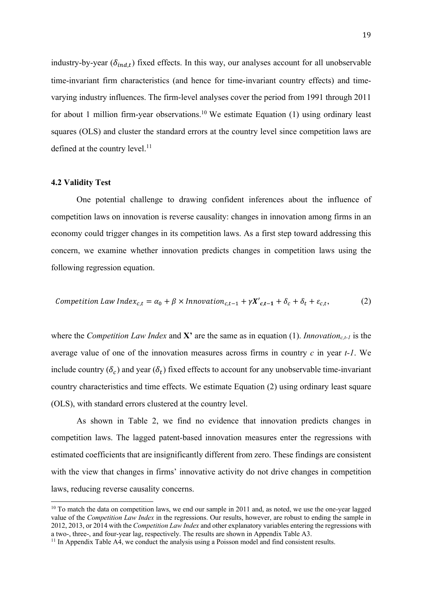industry-by-year ( $\delta_{ind,t}$ ) fixed effects. In this way, our analyses account for all unobservable time-invariant firm characteristics (and hence for time-invariant country effects) and timevarying industry influences. The firm-level analyses cover the period from 1991 through 2011 for about 1 million firm-year observations.<sup>10</sup> We estimate Equation  $(1)$  using ordinary least squares (OLS) and cluster the standard errors at the country level since competition laws are defined at the country level.<sup>11</sup>

## **4.2 Validity Test**

One potential challenge to drawing confident inferences about the influence of competition laws on innovation is reverse causality: changes in innovation among firms in an economy could trigger changes in its competition laws. As a first step toward addressing this concern, we examine whether innovation predicts changes in competition laws using the following regression equation.

Competition Law Index<sub>c,t</sub> = 
$$
\alpha_0 + \beta \times \text{Innovation}_{c,t-1} + \gamma X'_{c,t-1} + \delta_c + \delta_t + \varepsilon_{c,t}
$$
, (2)

where the *Competition Law Index* and  $X'$  are the same as in equation (1). *Innovation<sub>c,t-1</sub>* is the average value of one of the innovation measures across firms in country *c* in year *t-1*. We include country  $(\delta_c)$  and year  $(\delta_t)$  fixed effects to account for any unobservable time-invariant country characteristics and time effects. We estimate Equation (2) using ordinary least square (OLS), with standard errors clustered at the country level.

As shown in Table 2, we find no evidence that innovation predicts changes in competition laws. The lagged patent-based innovation measures enter the regressions with estimated coefficients that are insignificantly different from zero. These findings are consistent with the view that changes in firms' innovative activity do not drive changes in competition laws, reducing reverse causality concerns.

<sup>&</sup>lt;sup>10</sup> To match the data on competition laws, we end our sample in 2011 and, as noted, we use the one-year lagged value of the *Competition Law Index* in the regressions. Our results, however, are robust to ending the sample in 2012, 2013, or 2014 with the *Competition Law Index* and other explanatory variables entering the regressions with

a two-, three-, and four-year lag, respectively. The results are shown in Appendix Table A3. 11 In Appendix Table A4, we conduct the analysis using a Poisson model and find consistent results.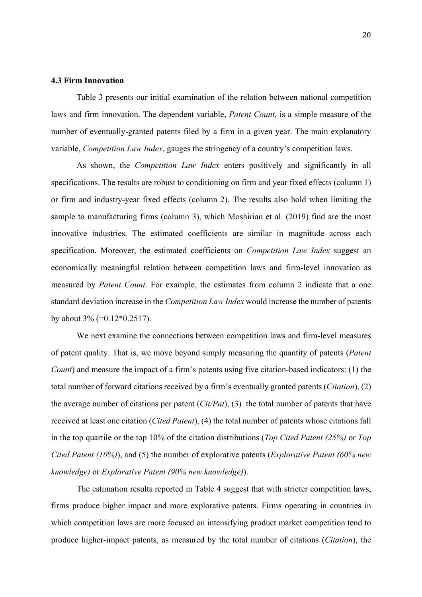#### **4.3 Firm Innovation**

Table 3 presents our initial examination of the relation between national competition laws and firm innovation. The dependent variable, *Patent Count*, is a simple measure of the number of eventually-granted patents filed by a firm in a given year. The main explanatory variable, *Competition Law Index*, gauges the stringency of a country's competition laws.

As shown, the *Competition Law Index* enters positively and significantly in all specifications. The results are robust to conditioning on firm and year fixed effects (column 1) or firm and industry-year fixed effects (column 2). The results also hold when limiting the sample to manufacturing firms (column 3), which Moshirian et al. (2019) find are the most innovative industries. The estimated coefficients are similar in magnitude across each specification. Moreover, the estimated coefficients on *Competition Law Index* suggest an economically meaningful relation between competition laws and firm-level innovation as measured by *Patent Count*. For example, the estimates from column 2 indicate that a one standard deviation increase in the *Competition Law Index* would increase the number of patents by about  $3\%$  (=0.12\*0.2517).

We next examine the connections between competition laws and firm-level measures of patent quality. That is, we move beyond simply measuring the quantity of patents (*Patent Count*) and measure the impact of a firm's patents using five citation-based indicators: (1) the total number of forward citations received by a firm's eventually granted patents (*Citation*), (2) the average number of citations per patent (*Cit/Pat*), (3) the total number of patents that have received at least one citation (*Cited Patent*), (4) the total number of patents whose citations fall in the top quartile or the top 10% of the citation distributions (*Top Cited Patent (25%)* or *Top Cited Patent (10%)*), and (5) the number of explorative patents (*Explorative Patent (60% new knowledge)* or *Explorative Patent (90% new knowledge)*).

The estimation results reported in Table 4 suggest that with stricter competition laws, firms produce higher impact and more explorative patents. Firms operating in countries in which competition laws are more focused on intensifying product market competition tend to produce higher-impact patents, as measured by the total number of citations (*Citation*), the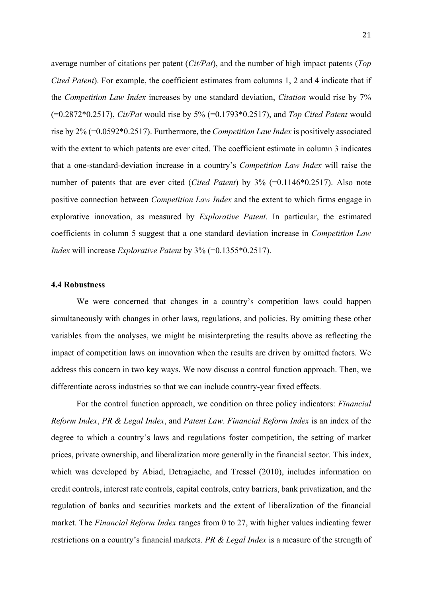average number of citations per patent (*Cit/Pat*), and the number of high impact patents (*Top Cited Patent*). For example, the coefficient estimates from columns 1, 2 and 4 indicate that if the *Competition Law Index* increases by one standard deviation, *Citation* would rise by 7% (=0.2872\*0.2517), *Cit/Pat* would rise by 5% (=0.1793\*0.2517), and *Top Cited Patent* would rise by 2% (=0.0592\*0.2517). Furthermore, the *Competition Law Index* is positively associated with the extent to which patents are ever cited. The coefficient estimate in column 3 indicates that a one-standard-deviation increase in a country's *Competition Law Index* will raise the number of patents that are ever cited (*Cited Patent*) by 3% (=0.1146\*0.2517). Also note positive connection between *Competition Law Index* and the extent to which firms engage in explorative innovation, as measured by *Explorative Patent*. In particular, the estimated coefficients in column 5 suggest that a one standard deviation increase in *Competition Law Index* will increase *Explorative Patent* by 3% (=0.1355\*0.2517).

### **4.4 Robustness**

We were concerned that changes in a country's competition laws could happen simultaneously with changes in other laws, regulations, and policies. By omitting these other variables from the analyses, we might be misinterpreting the results above as reflecting the impact of competition laws on innovation when the results are driven by omitted factors. We address this concern in two key ways. We now discuss a control function approach. Then, we differentiate across industries so that we can include country-year fixed effects.

For the control function approach, we condition on three policy indicators: *Financial Reform Index*, *PR & Legal Index*, and *Patent Law*. *Financial Reform Index* is an index of the degree to which a country's laws and regulations foster competition, the setting of market prices, private ownership, and liberalization more generally in the financial sector. This index, which was developed by Abiad, Detragiache, and Tressel (2010), includes information on credit controls, interest rate controls, capital controls, entry barriers, bank privatization, and the regulation of banks and securities markets and the extent of liberalization of the financial market. The *Financial Reform Index* ranges from 0 to 27, with higher values indicating fewer restrictions on a country's financial markets. *PR & Legal Index* is a measure of the strength of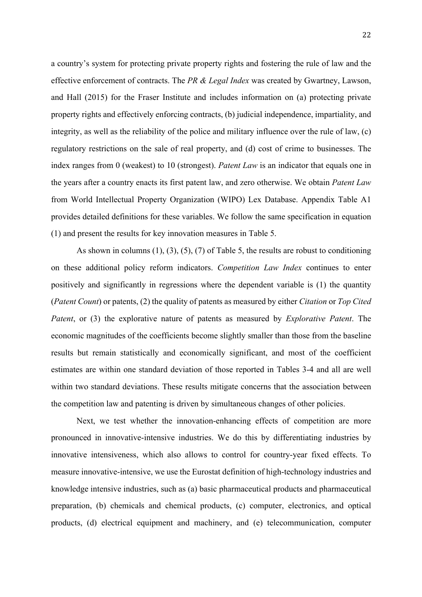a country's system for protecting private property rights and fostering the rule of law and the effective enforcement of contracts. The *PR & Legal Index* was created by Gwartney, Lawson, and Hall (2015) for the Fraser Institute and includes information on (a) protecting private property rights and effectively enforcing contracts, (b) judicial independence, impartiality, and integrity, as well as the reliability of the police and military influence over the rule of law, (c) regulatory restrictions on the sale of real property, and (d) cost of crime to businesses. The index ranges from 0 (weakest) to 10 (strongest). *Patent Law* is an indicator that equals one in the years after a country enacts its first patent law, and zero otherwise. We obtain *Patent Law* from World Intellectual Property Organization (WIPO) Lex Database. Appendix Table A1 provides detailed definitions for these variables. We follow the same specification in equation (1) and present the results for key innovation measures in Table 5.

As shown in columns  $(1)$ ,  $(3)$ ,  $(5)$ ,  $(7)$  of Table 5, the results are robust to conditioning on these additional policy reform indicators. *Competition Law Index* continues to enter positively and significantly in regressions where the dependent variable is (1) the quantity (*Patent Count*) or patents, (2) the quality of patents as measured by either *Citation* or *Top Cited Patent*, or (3) the explorative nature of patents as measured by *Explorative Patent*. The economic magnitudes of the coefficients become slightly smaller than those from the baseline results but remain statistically and economically significant, and most of the coefficient estimates are within one standard deviation of those reported in Tables 3-4 and all are well within two standard deviations. These results mitigate concerns that the association between the competition law and patenting is driven by simultaneous changes of other policies.

Next, we test whether the innovation-enhancing effects of competition are more pronounced in innovative-intensive industries. We do this by differentiating industries by innovative intensiveness, which also allows to control for country-year fixed effects. To measure innovative-intensive, we use the Eurostat definition of high-technology industries and knowledge intensive industries, such as (a) basic pharmaceutical products and pharmaceutical preparation, (b) chemicals and chemical products, (c) computer, electronics, and optical products, (d) electrical equipment and machinery, and (e) telecommunication, computer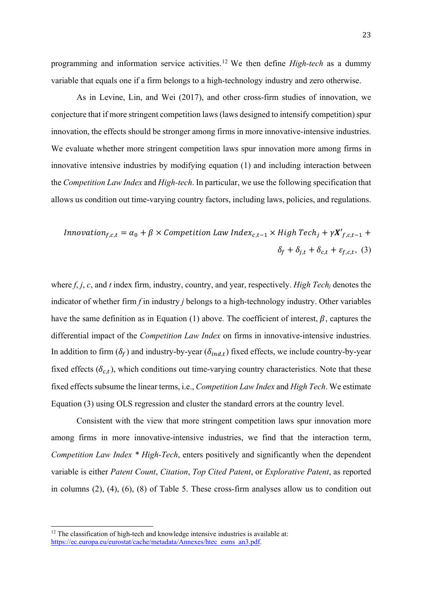programming and information service activities. <sup>12</sup> We then define *High-tech* as a dummy variable that equals one if a firm belongs to a high-technology industry and zero otherwise.

As in Levine, Lin, and Wei (2017), and other cross-firm studies of innovation, we conjecture that if more stringent competition laws (laws designed to intensify competition) spur innovation, the effects should be stronger among firms in more innovative-intensive industries. We evaluate whether more stringent competition laws spur innovation more among firms in innovative intensive industries by modifying equation (1) and including interaction between the *Competition Law Index* and *High-tech*. In particular, we use the following specification that allows us condition out time-varying country factors, including laws, policies, and regulations.

$$
In novation_{f,c,t} = \alpha_0 + \beta \times Competition Law Index_{c,t-1} \times High Tech_j + \gamma \mathbf{X'}_{f,c,t-1} +
$$
\n
$$
\delta_f + \delta_{j,t} + \delta_{c,t} + \varepsilon_{f,c,t}, \quad (3)
$$

where *f*, *j*, *c*, and *t* index firm, industry, country, and year, respectively. *High Tech<sub>j</sub>* denotes the indicator of whether firm *f* in industry *j* belongs to a high-technology industry. Other variables have the same definition as in Equation (1) above. The coefficient of interest,  $\beta$ , captures the differential impact of the *Competition Law Index* on firms in innovative-intensive industries. In addition to firm  $(\delta_f)$  and industry-by-year  $(\delta_{ind,t})$  fixed effects, we include country-by-year fixed effects ( $\delta_{c,t}$ ), which conditions out time-varying country characteristics. Note that these fixed effects subsume the linear terms, i.e., *Competition Law Index* and *High Tech*. We estimate Equation (3) using OLS regression and cluster the standard errors at the country level.

Consistent with the view that more stringent competition laws spur innovation more among firms in more innovative-intensive industries, we find that the interaction term, *Competition Law Index \* High-Tech*, enters positively and significantly when the dependent variable is either *Patent Count*, *Citation*, *Top Cited Patent*, or *Explorative Patent*, as reported in columns (2), (4), (6), (8) of Table 5. These cross-firm analyses allow us to condition out

<sup>&</sup>lt;sup>12</sup> The classification of high-tech and knowledge intensive industries is available at: https://ec.europa.eu/eurostat/cache/metadata/Annexes/htec\_esms\_an3.pdf.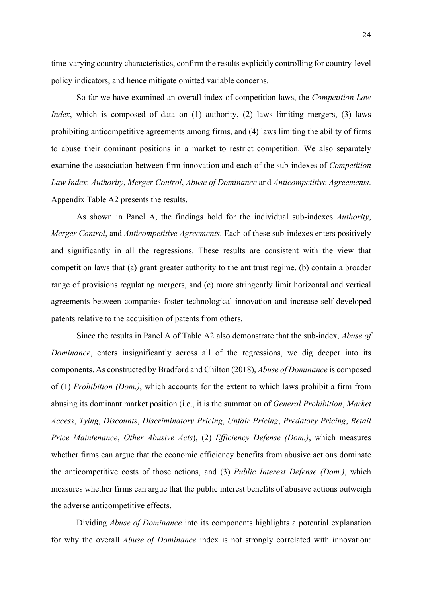time-varying country characteristics, confirm the results explicitly controlling for country-level policy indicators, and hence mitigate omitted variable concerns.

So far we have examined an overall index of competition laws, the *Competition Law Index*, which is composed of data on (1) authority, (2) laws limiting mergers, (3) laws prohibiting anticompetitive agreements among firms, and (4) laws limiting the ability of firms to abuse their dominant positions in a market to restrict competition. We also separately examine the association between firm innovation and each of the sub-indexes of *Competition Law Index*: *Authority*, *Merger Control*, *Abuse of Dominance* and *Anticompetitive Agreements*. Appendix Table A2 presents the results.

As shown in Panel A, the findings hold for the individual sub-indexes *Authority*, *Merger Control*, and *Anticompetitive Agreements*. Each of these sub-indexes enters positively and significantly in all the regressions. These results are consistent with the view that competition laws that (a) grant greater authority to the antitrust regime, (b) contain a broader range of provisions regulating mergers, and (c) more stringently limit horizontal and vertical agreements between companies foster technological innovation and increase self-developed patents relative to the acquisition of patents from others.

Since the results in Panel A of Table A2 also demonstrate that the sub-index, *Abuse of Dominance*, enters insignificantly across all of the regressions, we dig deeper into its components. As constructed by Bradford and Chilton (2018), *Abuse of Dominance* is composed of (1) *Prohibition (Dom.)*, which accounts for the extent to which laws prohibit a firm from abusing its dominant market position (i.e., it is the summation of *General Prohibition*, *Market Access*, *Tying*, *Discounts*, *Discriminatory Pricing*, *Unfair Pricing*, *Predatory Pricing*, *Retail Price Maintenance*, *Other Abusive Acts*), (2) *Efficiency Defense (Dom.)*, which measures whether firms can argue that the economic efficiency benefits from abusive actions dominate the anticompetitive costs of those actions, and (3) *Public Interest Defense (Dom.)*, which measures whether firms can argue that the public interest benefits of abusive actions outweigh the adverse anticompetitive effects.

Dividing *Abuse of Dominance* into its components highlights a potential explanation for why the overall *Abuse of Dominance* index is not strongly correlated with innovation: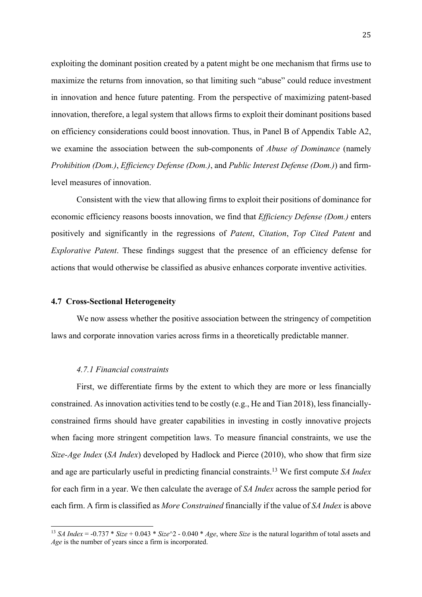exploiting the dominant position created by a patent might be one mechanism that firms use to maximize the returns from innovation, so that limiting such "abuse" could reduce investment in innovation and hence future patenting. From the perspective of maximizing patent-based innovation, therefore, a legal system that allows firms to exploit their dominant positions based on efficiency considerations could boost innovation. Thus, in Panel B of Appendix Table A2, we examine the association between the sub-components of *Abuse of Dominance* (namely *Prohibition (Dom.)*, *Efficiency Defense (Dom.)*, and *Public Interest Defense (Dom.)*) and firmlevel measures of innovation.

Consistent with the view that allowing firms to exploit their positions of dominance for economic efficiency reasons boosts innovation, we find that *Efficiency Defense (Dom.)* enters positively and significantly in the regressions of *Patent*, *Citation*, *Top Cited Patent* and *Explorative Patent*. These findings suggest that the presence of an efficiency defense for actions that would otherwise be classified as abusive enhances corporate inventive activities.

#### **4.7 Cross-Sectional Heterogeneity**

We now assess whether the positive association between the stringency of competition laws and corporate innovation varies across firms in a theoretically predictable manner.

## *4.7.1 Financial constraints*

First, we differentiate firms by the extent to which they are more or less financially constrained. As innovation activities tend to be costly (e.g., He and Tian 2018), less financiallyconstrained firms should have greater capabilities in investing in costly innovative projects when facing more stringent competition laws. To measure financial constraints, we use the *Size-Age Index* (*SA Index*) developed by Hadlock and Pierce (2010), who show that firm size and age are particularly useful in predicting financial constraints. <sup>13</sup> We first compute *SA Index* for each firm in a year. We then calculate the average of *SA Index* across the sample period for each firm. A firm is classified as *More Constrained* financially if the value of *SA Index* is above

<sup>&</sup>lt;sup>13</sup> *SA Index* = -0.737 \* *Size* + 0.043 \* *Size* $\textdegree$ 2 - 0.040 \* *Age*, where *Size* is the natural logarithm of total assets and *Age* is the number of years since a firm is incorporated.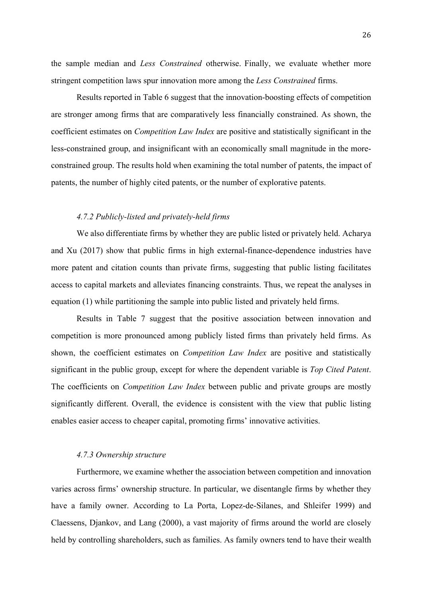the sample median and *Less Constrained* otherwise. Finally, we evaluate whether more stringent competition laws spur innovation more among the *Less Constrained* firms.

Results reported in Table 6 suggest that the innovation-boosting effects of competition are stronger among firms that are comparatively less financially constrained. As shown, the coefficient estimates on *Competition Law Index* are positive and statistically significant in the less-constrained group, and insignificant with an economically small magnitude in the moreconstrained group. The results hold when examining the total number of patents, the impact of patents, the number of highly cited patents, or the number of explorative patents.

## *4.7.2 Publicly-listed and privately-held firms*

We also differentiate firms by whether they are public listed or privately held. Acharya and Xu (2017) show that public firms in high external-finance-dependence industries have more patent and citation counts than private firms, suggesting that public listing facilitates access to capital markets and alleviates financing constraints. Thus, we repeat the analyses in equation (1) while partitioning the sample into public listed and privately held firms.

Results in Table 7 suggest that the positive association between innovation and competition is more pronounced among publicly listed firms than privately held firms. As shown, the coefficient estimates on *Competition Law Index* are positive and statistically significant in the public group, except for where the dependent variable is *Top Cited Patent*. The coefficients on *Competition Law Index* between public and private groups are mostly significantly different. Overall, the evidence is consistent with the view that public listing enables easier access to cheaper capital, promoting firms' innovative activities.

### *4.7.3 Ownership structure*

Furthermore, we examine whether the association between competition and innovation varies across firms' ownership structure. In particular, we disentangle firms by whether they have a family owner. According to La Porta, Lopez-de-Silanes, and Shleifer 1999) and Claessens, Djankov, and Lang (2000), a vast majority of firms around the world are closely held by controlling shareholders, such as families. As family owners tend to have their wealth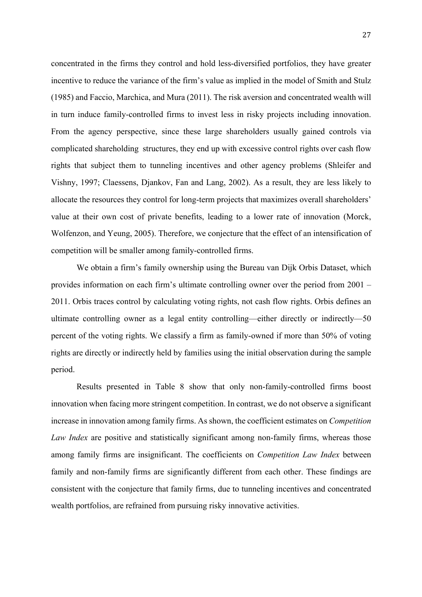concentrated in the firms they control and hold less-diversified portfolios, they have greater incentive to reduce the variance of the firm's value as implied in the model of Smith and Stulz (1985) and Faccio, Marchica, and Mura (2011). The risk aversion and concentrated wealth will in turn induce family-controlled firms to invest less in risky projects including innovation. From the agency perspective, since these large shareholders usually gained controls via complicated shareholding structures, they end up with excessive control rights over cash flow rights that subject them to tunneling incentives and other agency problems (Shleifer and Vishny, 1997; Claessens, Djankov, Fan and Lang, 2002). As a result, they are less likely to allocate the resources they control for long-term projects that maximizes overall shareholders' value at their own cost of private benefits, leading to a lower rate of innovation (Morck, Wolfenzon, and Yeung, 2005). Therefore, we conjecture that the effect of an intensification of competition will be smaller among family-controlled firms.

We obtain a firm's family ownership using the Bureau van Dijk Orbis Dataset, which provides information on each firm's ultimate controlling owner over the period from 2001 – 2011. Orbis traces control by calculating voting rights, not cash flow rights. Orbis defines an ultimate controlling owner as a legal entity controlling—either directly or indirectly—50 percent of the voting rights. We classify a firm as family-owned if more than 50% of voting rights are directly or indirectly held by families using the initial observation during the sample period.

Results presented in Table 8 show that only non-family-controlled firms boost innovation when facing more stringent competition. In contrast, we do not observe a significant increase in innovation among family firms. As shown, the coefficient estimates on *Competition Law Index* are positive and statistically significant among non-family firms, whereas those among family firms are insignificant. The coefficients on *Competition Law Index* between family and non-family firms are significantly different from each other. These findings are consistent with the conjecture that family firms, due to tunneling incentives and concentrated wealth portfolios, are refrained from pursuing risky innovative activities.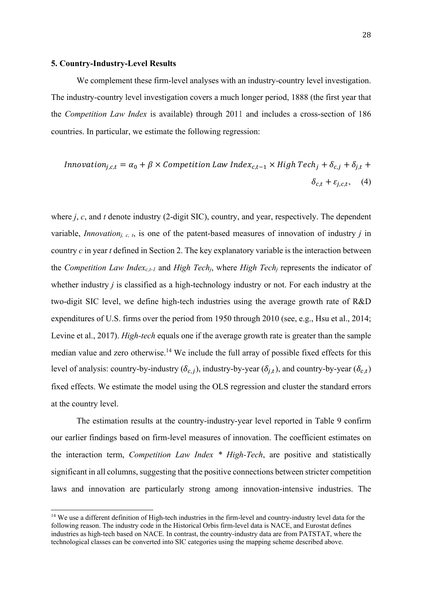#### **5. Country-Industry-Level Results**

We complement these firm-level analyses with an industry-country level investigation. The industry-country level investigation covers a much longer period, 1888 (the first year that the *Competition Law Index* is available) through 2011 and includes a cross-section of 186 countries. In particular, we estimate the following regression:

$$
Innovation_{j,c,t} = \alpha_0 + \beta \times Competition Law Index_{c,t-1} \times High Tech_j + \delta_{c,j} + \delta_{j,t} + \delta_{c,t} + \delta_{c,t} + \delta_{c,t} + \delta_{c,t} + \delta_{c,t} + \delta_{c,t} + \delta_{c,t} + \delta_{c,t} + \delta_{c,t} + \delta_{c,t} + \delta_{c,t} + \delta_{c,t} + \delta_{c,t} + \delta_{c,t} + \delta_{c,t} + \delta_{c,t} + \delta_{c,t} + \delta_{c,t} + \delta_{c,t} + \delta_{c,t} + \delta_{c,t} + \delta_{c,t} + \delta_{c,t} + \delta_{c,t} + \delta_{c,t} + \delta_{c,t} + \delta_{c,t} + \delta_{c,t} + \delta_{c,t} + \delta_{c,t} + \delta_{c,t} + \delta_{c,t} + \delta_{c,t} + \delta_{c,t} + \delta_{c,t} + \delta_{c,t} + \delta_{c,t} + \delta_{c,t} + \delta_{c,t} + \delta_{c,t} + \delta_{c,t} + \delta_{c,t} + \delta_{c,t} + \delta_{c,t} + \delta_{c,t} + \delta_{c,t} + \delta_{c,t} + \delta_{c,t} + \delta_{c,t} + \delta_{c,t} + \delta_{c,t} + \delta_{c,t} + \delta_{c,t} + \delta_{c,t} + \delta_{c,t} + \delta_{c,t} + \delta_{c,t} + \delta_{c,t} + \delta_{c,t} + \delta_{c,t} + \delta_{c,t} + \delta_{c,t} + \delta_{c,t} + \delta_{c,t} + \delta_{c,t} + \delta_{c,t} + \delta_{c,t} + \delta_{c,t} + \delta_{c,t} + \delta_{c,t} + \delta_{c,t} + \delta_{c,t} + \delta_{c,t} + \delta_{c,t} + \delta_{c,t} + \delta_{c,t} + \delta_{c,t} + \delta_{c,t} + \delta_{c,t} + \delta_{c,t} + \delta_{c,t} + \delta_{c,t} + \delta_{c,t} + \delta_{c,t} + \delta_{c,t} + \delta_{c,t} + \delta_{c,t} + \delta_{c,t} + \delta_{c,t} + \delta_{c,t} + \delta_{c,t} + \delta_{c,t} + \delta_{c,t} + \delta_{c,t} + \delta_{c,t} + \delta_{c,t} + \delta_{c,t} + \delta_{c,t} + \delta_{c,t} + \delta_{c,t} + \delta_{c,t} + \delta_{c
$$

where *j*, *c*, and *t* denote industry (2-digit SIC), country, and year, respectively. The dependent variable, *Innovationj, c, t*, is one of the patent-based measures of innovation of industry *j* in country *c* in year *t* defined in Section 2. The key explanatory variable is the interaction between the *Competition Law Indexc,t-1* and *High Techj*, where *High Techj* represents the indicator of whether industry *j* is classified as a high-technology industry or not. For each industry at the two-digit SIC level, we define high-tech industries using the average growth rate of R&D expenditures of U.S. firms over the period from 1950 through 2010 (see, e.g., Hsu et al., 2014; Levine et al., 2017). *High-tech* equals one if the average growth rate is greater than the sample median value and zero otherwise.<sup>14</sup> We include the full array of possible fixed effects for this level of analysis: country-by-industry ( $\delta_{c,i}$ ), industry-by-year ( $\delta_{i,t}$ ), and country-by-year ( $\delta_{c,t}$ ) fixed effects. We estimate the model using the OLS regression and cluster the standard errors at the country level.

The estimation results at the country-industry-year level reported in Table 9 confirm our earlier findings based on firm-level measures of innovation. The coefficient estimates on the interaction term, *Competition Law Index \* High-Tech*, are positive and statistically significant in all columns, suggesting that the positive connections between stricter competition laws and innovation are particularly strong among innovation-intensive industries. The

<sup>&</sup>lt;sup>14</sup> We use a different definition of High-tech industries in the firm-level and country-industry level data for the following reason. The industry code in the Historical Orbis firm-level data is NACE, and Eurostat defines industries as high-tech based on NACE. In contrast, the country-industry data are from PATSTAT, where the technological classes can be converted into SIC categories using the mapping scheme described above.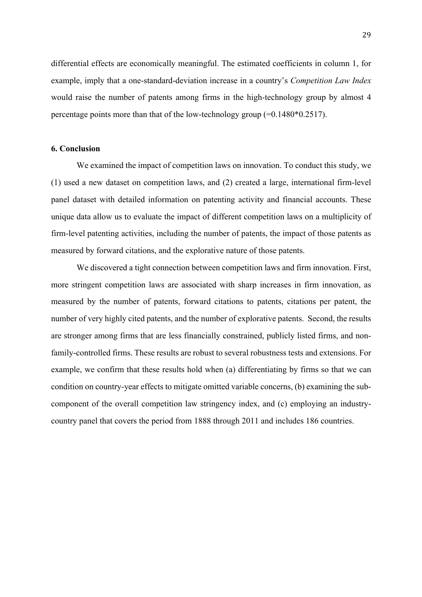differential effects are economically meaningful. The estimated coefficients in column 1, for example, imply that a one-standard-deviation increase in a country's *Competition Law Index* would raise the number of patents among firms in the high-technology group by almost 4 percentage points more than that of the low-technology group (=0.1480\*0.2517).

## **6. Conclusion**

We examined the impact of competition laws on innovation. To conduct this study, we (1) used a new dataset on competition laws, and (2) created a large, international firm-level panel dataset with detailed information on patenting activity and financial accounts. These unique data allow us to evaluate the impact of different competition laws on a multiplicity of firm-level patenting activities, including the number of patents, the impact of those patents as measured by forward citations, and the explorative nature of those patents.

We discovered a tight connection between competition laws and firm innovation. First, more stringent competition laws are associated with sharp increases in firm innovation, as measured by the number of patents, forward citations to patents, citations per patent, the number of very highly cited patents, and the number of explorative patents. Second, the results are stronger among firms that are less financially constrained, publicly listed firms, and nonfamily-controlled firms. These results are robust to several robustness tests and extensions. For example, we confirm that these results hold when (a) differentiating by firms so that we can condition on country-year effects to mitigate omitted variable concerns, (b) examining the subcomponent of the overall competition law stringency index, and (c) employing an industrycountry panel that covers the period from 1888 through 2011 and includes 186 countries.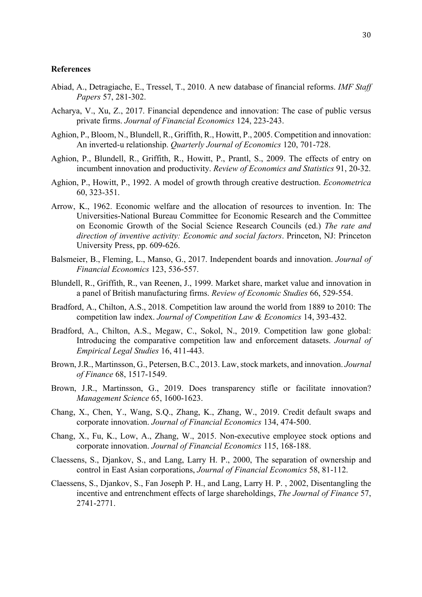#### **References**

- Abiad, A., Detragiache, E., Tressel, T., 2010. A new database of financial reforms. *IMF Staff Papers* 57, 281-302.
- Acharya, V., Xu, Z., 2017. Financial dependence and innovation: The case of public versus private firms. *Journal of Financial Economics* 124, 223-243.
- Aghion, P., Bloom, N., Blundell, R., Griffith, R., Howitt, P., 2005. Competition and innovation: An inverted-u relationship. *Quarterly Journal of Economics* 120, 701-728.
- Aghion, P., Blundell, R., Griffith, R., Howitt, P., Prantl, S., 2009. The effects of entry on incumbent innovation and productivity. *Review of Economics and Statistics* 91, 20-32.
- Aghion, P., Howitt, P., 1992. A model of growth through creative destruction. *Econometrica* 60, 323-351.
- Arrow, K., 1962. Economic welfare and the allocation of resources to invention. In: The Universities-National Bureau Committee for Economic Research and the Committee on Economic Growth of the Social Science Research Councils (ed.) *The rate and direction of inventive activity: Economic and social factors*. Princeton, NJ: Princeton University Press, pp. 609-626.
- Balsmeier, B., Fleming, L., Manso, G., 2017. Independent boards and innovation. *Journal of Financial Economics* 123, 536-557.
- Blundell, R., Griffith, R., van Reenen, J., 1999. Market share, market value and innovation in a panel of British manufacturing firms. *Review of Economic Studies* 66, 529-554.
- Bradford, A., Chilton, A.S., 2018. Competition law around the world from 1889 to 2010: The competition law index. *Journal of Competition Law & Economics* 14, 393-432.
- Bradford, A., Chilton, A.S., Megaw, C., Sokol, N., 2019. Competition law gone global: Introducing the comparative competition law and enforcement datasets. *Journal of Empirical Legal Studies* 16, 411-443.
- Brown, J.R., Martinsson, G., Petersen, B.C., 2013. Law, stock markets, and innovation. *Journal of Finance* 68, 1517-1549.
- Brown, J.R., Martinsson, G., 2019. Does transparency stifle or facilitate innovation? *Management Science* 65, 1600-1623.
- Chang, X., Chen, Y., Wang, S.Q., Zhang, K., Zhang, W., 2019. Credit default swaps and corporate innovation. *Journal of Financial Economics* 134, 474-500.
- Chang, X., Fu, K., Low, A., Zhang, W., 2015. Non-executive employee stock options and corporate innovation. *Journal of Financial Economics* 115, 168-188.
- Claessens, S., Djankov, S., and Lang, Larry H. P., 2000, The separation of ownership and control in East Asian corporations, *Journal of Financial Economics* 58, 81-112.
- Claessens, S., Djankov, S., Fan Joseph P. H., and Lang, Larry H. P. , 2002, Disentangling the incentive and entrenchment effects of large shareholdings, *The Journal of Finance* 57, 2741-2771.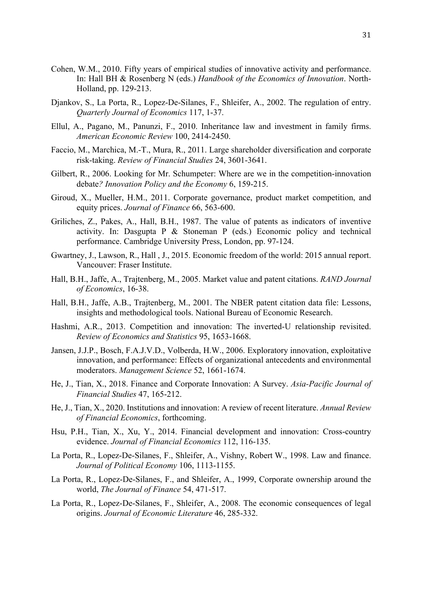- Cohen, W.M., 2010. Fifty years of empirical studies of innovative activity and performance. In: Hall BH & Rosenberg N (eds.) *Handbook of the Economics of Innovation*. North-Holland, pp. 129-213.
- Djankov, S., La Porta, R., Lopez-De-Silanes, F., Shleifer, A., 2002. The regulation of entry. *Quarterly Journal of Economics* 117, 1-37.
- Ellul, A., Pagano, M., Panunzi, F., 2010. Inheritance law and investment in family firms. *American Economic Review* 100, 2414-2450.
- Faccio, M., Marchica, M.-T., Mura, R., 2011. Large shareholder diversification and corporate risk-taking. *Review of Financial Studies* 24, 3601-3641.
- Gilbert, R., 2006. Looking for Mr. Schumpeter: Where are we in the competition-innovation debate*? Innovation Policy and the Economy* 6, 159-215.
- Giroud, X., Mueller, H.M., 2011. Corporate governance, product market competition, and equity prices. *Journal of Finance* 66, 563-600.
- Griliches, Z., Pakes, A., Hall, B.H., 1987. The value of patents as indicators of inventive activity. In: Dasgupta P & Stoneman P (eds.) Economic policy and technical performance. Cambridge University Press, London, pp. 97-124.
- Gwartney, J., Lawson, R., Hall , J., 2015. Economic freedom of the world: 2015 annual report. Vancouver: Fraser Institute.
- Hall, B.H., Jaffe, A., Trajtenberg, M., 2005. Market value and patent citations. *RAND Journal of Economics*, 16-38.
- Hall, B.H., Jaffe, A.B., Trajtenberg, M., 2001. The NBER patent citation data file: Lessons, insights and methodological tools. National Bureau of Economic Research.
- Hashmi, A.R., 2013. Competition and innovation: The inverted-U relationship revisited. *Review of Economics and Statistics* 95, 1653-1668.
- Jansen, J.J.P., Bosch, F.A.J.V.D., Volberda, H.W., 2006. Exploratory innovation, exploitative innovation, and performance: Effects of organizational antecedents and environmental moderators. *Management Science* 52, 1661-1674.
- He, J., Tian, X., 2018. Finance and Corporate Innovation: A Survey. *Asia-Pacific Journal of Financial Studies* 47, 165-212.
- He, J., Tian, X., 2020. Institutions and innovation: A review of recent literature. *Annual Review of Financial Economics*, forthcoming.
- Hsu, P.H., Tian, X., Xu, Y., 2014. Financial development and innovation: Cross-country evidence. *Journal of Financial Economics* 112, 116-135.
- La Porta, R., Lopez‐De‐Silanes, F., Shleifer, A., Vishny, Robert W., 1998. Law and finance. *Journal of Political Economy* 106, 1113-1155.
- La Porta, R., Lopez-De-Silanes, F., and Shleifer, A., 1999, Corporate ownership around the world, *The Journal of Finance* 54, 471-517.
- La Porta, R., Lopez-De-Silanes, F., Shleifer, A., 2008. The economic consequences of legal origins. *Journal of Economic Literature* 46, 285-332.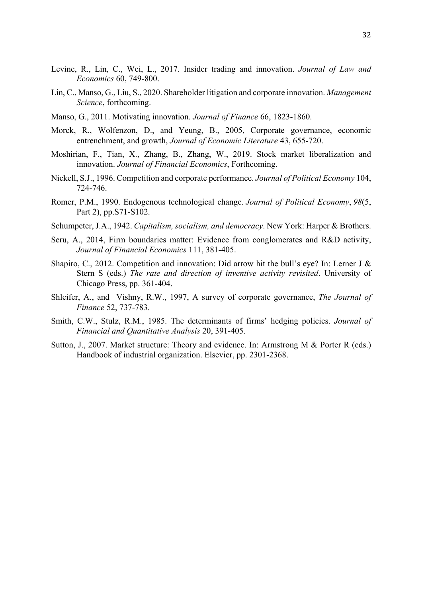- Levine, R., Lin, C., Wei, L., 2017. Insider trading and innovation. *Journal of Law and Economics* 60, 749-800.
- Lin, C., Manso, G., Liu, S., 2020. Shareholder litigation and corporate innovation. *Management Science*, forthcoming.
- Manso, G., 2011. Motivating innovation. *Journal of Finance* 66, 1823-1860.
- Morck, R., Wolfenzon, D., and Yeung, B., 2005, Corporate governance, economic entrenchment, and growth, *Journal of Economic Literature* 43, 655-720.
- Moshirian, F., Tian, X., Zhang, B., Zhang, W., 2019. Stock market liberalization and innovation. *Journal of Financial Economics*, Forthcoming.
- Nickell, S.J., 1996. Competition and corporate performance. *Journal of Political Economy* 104, 724-746.
- Romer, P.M., 1990. Endogenous technological change. *Journal of Political Economy*, *98*(5, Part 2), pp.S71-S102.
- Schumpeter, J.A., 1942. *Capitalism, socialism, and democracy*. New York: Harper & Brothers.
- Seru, A., 2014, Firm boundaries matter: Evidence from conglomerates and R&D activity, *Journal of Financial Economics* 111, 381-405.
- Shapiro, C., 2012. Competition and innovation: Did arrow hit the bull's eye? In: Lerner J & Stern S (eds.) *The rate and direction of inventive activity revisited*. University of Chicago Press, pp. 361-404.
- Shleifer, A., and Vishny, R.W., 1997, A survey of corporate governance, *The Journal of Finance* 52, 737-783.
- Smith, C.W., Stulz, R.M., 1985. The determinants of firms' hedging policies. *Journal of Financial and Quantitative Analysis* 20, 391-405.
- Sutton, J., 2007. Market structure: Theory and evidence. In: Armstrong M & Porter R (eds.) Handbook of industrial organization. Elsevier, pp. 2301-2368.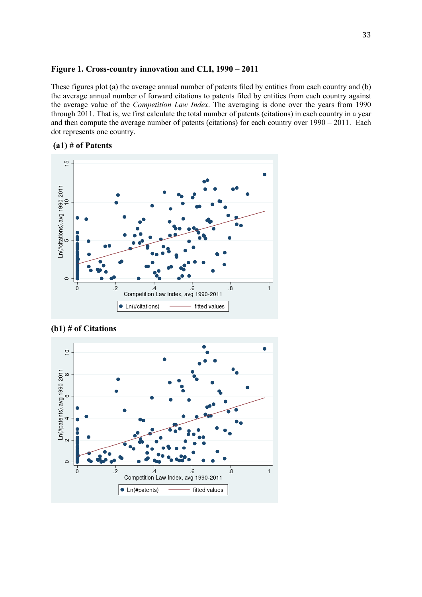#### **Figure 1. Cross-country innovation and CLI, 1990 – 2011**

These figures plot (a) the average annual number of patents filed by entities from each country and (b) the average annual number of forward citations to patents filed by entities from each country against the average value of the *Competition Law Index*. The averaging is done over the years from 1990 through 2011. That is, we first calculate the total number of patents (citations) in each country in a year and then compute the average number of patents (citations) for each country over 1990 – 2011. Each dot represents one country.

## **(a1) # of Patents**





**(b1) # of Citations**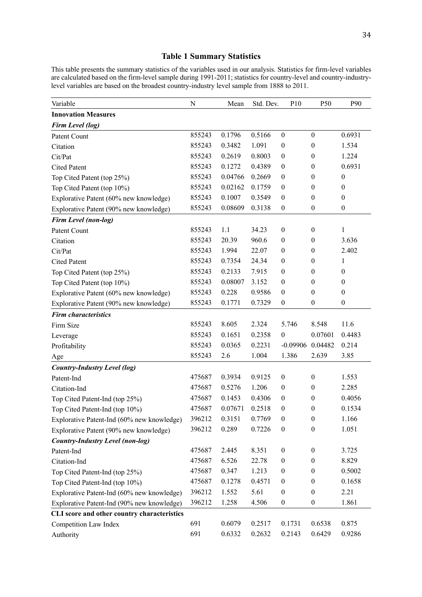## **Table 1 Summary Statistics**

This table presents the summary statistics of the variables used in our analysis. Statistics for firm-level variables are calculated based on the firm-level sample during 1991-2011; statistics for country-level and country-industrylevel variables are based on the broadest country-industry level sample from 1888 to 2011.

| Variable                                    | ${\bf N}$ | Mean    | Std. Dev. | P10              | P50              | P90              |
|---------------------------------------------|-----------|---------|-----------|------------------|------------------|------------------|
| <b>Innovation Measures</b>                  |           |         |           |                  |                  |                  |
| Firm Level (log)                            |           |         |           |                  |                  |                  |
| Patent Count                                | 855243    | 0.1796  | 0.5166    | $\boldsymbol{0}$ | $\boldsymbol{0}$ | 0.6931           |
| Citation                                    | 855243    | 0.3482  | 1.091     | $\boldsymbol{0}$ | $\overline{0}$   | 1.534            |
| Cit/Pat                                     | 855243    | 0.2619  | 0.8003    | $\boldsymbol{0}$ | $\boldsymbol{0}$ | 1.224            |
| <b>Cited Patent</b>                         | 855243    | 0.1272  | 0.4389    | $\boldsymbol{0}$ | $\boldsymbol{0}$ | 0.6931           |
| Top Cited Patent (top 25%)                  | 855243    | 0.04766 | 0.2669    | $\boldsymbol{0}$ | $\mathbf{0}$     | $\boldsymbol{0}$ |
| Top Cited Patent (top 10%)                  | 855243    | 0.02162 | 0.1759    | $\boldsymbol{0}$ | $\mathbf{0}$     | $\boldsymbol{0}$ |
| Explorative Patent (60% new knowledge)      | 855243    | 0.1007  | 0.3549    | $\boldsymbol{0}$ | $\mathbf{0}$     | $\boldsymbol{0}$ |
| Explorative Patent (90% new knowledge)      | 855243    | 0.08609 | 0.3138    | $\boldsymbol{0}$ | $\boldsymbol{0}$ | $\boldsymbol{0}$ |
| Firm Level (non-log)                        |           |         |           |                  |                  |                  |
| Patent Count                                | 855243    | 1.1     | 34.23     | $\boldsymbol{0}$ | $\boldsymbol{0}$ | 1                |
| Citation                                    | 855243    | 20.39   | 960.6     | $\boldsymbol{0}$ | $\boldsymbol{0}$ | 3.636            |
| Cit/Pat                                     | 855243    | 1.994   | 22.07     | $\boldsymbol{0}$ | $\mathbf{0}$     | 2.402            |
| <b>Cited Patent</b>                         | 855243    | 0.7354  | 24.34     | $\boldsymbol{0}$ | $\mathbf{0}$     | 1                |
| Top Cited Patent (top 25%)                  | 855243    | 0.2133  | 7.915     | $\boldsymbol{0}$ | $\theta$         | $\boldsymbol{0}$ |
| Top Cited Patent (top 10%)                  | 855243    | 0.08007 | 3.152     | $\boldsymbol{0}$ | $\theta$         | $\boldsymbol{0}$ |
| Explorative Patent (60% new knowledge)      | 855243    | 0.228   | 0.9586    | $\boldsymbol{0}$ | $\mathbf{0}$     | $\boldsymbol{0}$ |
| Explorative Patent (90% new knowledge)      | 855243    | 0.1771  | 0.7329    | $\boldsymbol{0}$ | $\boldsymbol{0}$ | $\boldsymbol{0}$ |
| <b>Firm characteristics</b>                 |           |         |           |                  |                  |                  |
| Firm Size                                   | 855243    | 8.605   | 2.324     | 5.746            | 8.548            | 11.6             |
| Leverage                                    | 855243    | 0.1651  | 0.2358    | $\boldsymbol{0}$ | 0.07601          | 0.4483           |
| Profitability                               | 855243    | 0.0365  | 0.2231    | $-0.09906$       | 0.04482          | 0.214            |
| Age                                         | 855243    | 2.6     | 1.004     | 1.386            | 2.639            | 3.85             |
| <b>Country-Industry Level (log)</b>         |           |         |           |                  |                  |                  |
| Patent-Ind                                  | 475687    | 0.3934  | 0.9125    | $\boldsymbol{0}$ | $\boldsymbol{0}$ | 1.553            |
| Citation-Ind                                | 475687    | 0.5276  | 1.206     | $\boldsymbol{0}$ | $\mathbf{0}$     | 2.285            |
| Top Cited Patent-Ind (top 25%)              | 475687    | 0.1453  | 0.4306    | $\boldsymbol{0}$ | $\mathbf{0}$     | 0.4056           |
| Top Cited Patent-Ind (top 10%)              | 475687    | 0.07671 | 0.2518    | $\boldsymbol{0}$ | $\boldsymbol{0}$ | 0.1534           |
| Explorative Patent-Ind (60% new knowledge)  | 396212    | 0.3151  | 0.7769    | $\boldsymbol{0}$ | $\boldsymbol{0}$ | 1.166            |
| Explorative Patent (90% new knowledge)      | 396212    | 0.289   | 0.7226    | $\boldsymbol{0}$ | $\theta$         | 1.051            |
| <b>Country-Industry Level (non-log)</b>     |           |         |           |                  |                  |                  |
| Patent-Ind                                  | 475687    | 2.445   | 8.351     | $\boldsymbol{0}$ | $\boldsymbol{0}$ | 3.725            |
| Citation-Ind                                | 475687    | 6.526   | 22.78     | $\boldsymbol{0}$ | $\mathbf{0}$     | 8.829            |
| Top Cited Patent-Ind (top 25%)              | 475687    | 0.347   | 1.213     | $\boldsymbol{0}$ | $\mathbf{0}$     | 0.5002           |
| Top Cited Patent-Ind (top 10%)              | 475687    | 0.1278  | 0.4571    | $\boldsymbol{0}$ | $\mathbf{0}$     | 0.1658           |
| Explorative Patent-Ind (60% new knowledge)  | 396212    | 1.552   | 5.61      | $\boldsymbol{0}$ | $\boldsymbol{0}$ | 2.21             |
| Explorative Patent-Ind (90% new knowledge)  | 396212    | 1.258   | 4.506     | $\boldsymbol{0}$ | $\boldsymbol{0}$ | 1.861            |
| CLI score and other country characteristics |           |         |           |                  |                  |                  |
| Competition Law Index                       | 691       | 0.6079  | 0.2517    | 0.1731           | 0.6538           | 0.875            |
| Authority                                   | 691       | 0.6332  | 0.2632    | 0.2143           | 0.6429           | 0.9286           |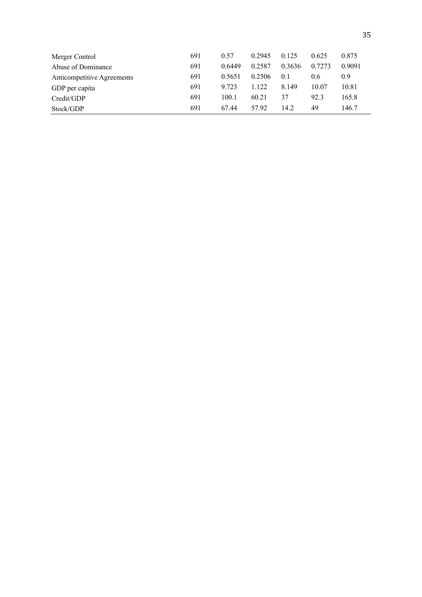| Merger Control             | 691 | 0.57   | 0.2945 | 0.125  | 0.625  | 0.875  |
|----------------------------|-----|--------|--------|--------|--------|--------|
| Abuse of Dominance         | 691 | 0.6449 | 0.2587 | 0.3636 | 0.7273 | 0.9091 |
| Anticompetitive Agreements | 691 | 0.5651 | 0.2506 | 0.1    | 0.6    | 0.9    |
| GDP per capita             | 691 | 9.723  | 1.122  | 8.149  | 10.07  | 10.81  |
| Credit/GDP                 | 691 | 100.1  | 60.21  | 37     | 92.3   | 165.8  |
| Stock/GDP                  | 691 | 67.44  | 57.92  | 14.2   | 49     | 146.7  |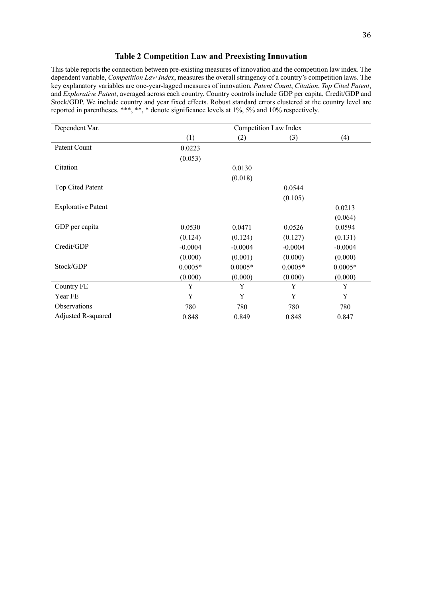#### **Table 2 Competition Law and Preexisting Innovation**

This table reports the connection between pre-existing measures of innovation and the competition law index. The dependent variable, *Competition Law Index*, measures the overall stringency of a country's competition laws. The key explanatory variables are one-year-lagged measures of innovation, *Patent Count*, *Citation*, *Top Cited Patent*, and *Explorative Patent*, averaged across each country. Country controls include GDP per capita, Credit/GDP and Stock/GDP. We include country and year fixed effects. Robust standard errors clustered at the country level are reported in parentheses. \*\*\*, \*\*, \* denote significance levels at 1%, 5% and 10% respectively.

| Dependent Var.            | Competition Law Index |           |           |           |  |  |
|---------------------------|-----------------------|-----------|-----------|-----------|--|--|
|                           | (1)                   | (2)       | (3)       | (4)       |  |  |
| Patent Count              | 0.0223                |           |           |           |  |  |
|                           | (0.053)               |           |           |           |  |  |
| Citation                  |                       | 0.0130    |           |           |  |  |
|                           |                       | (0.018)   |           |           |  |  |
| Top Cited Patent          |                       |           | 0.0544    |           |  |  |
|                           |                       |           | (0.105)   |           |  |  |
| <b>Explorative Patent</b> |                       |           |           | 0.0213    |  |  |
|                           |                       |           |           | (0.064)   |  |  |
| GDP per capita            | 0.0530                | 0.0471    | 0.0526    | 0.0594    |  |  |
|                           | (0.124)               | (0.124)   | (0.127)   | (0.131)   |  |  |
| Credit/GDP                | $-0.0004$             | $-0.0004$ | $-0.0004$ | $-0.0004$ |  |  |
|                           | (0.000)               | (0.001)   | (0.000)   | (0.000)   |  |  |
| Stock/GDP                 | $0.0005*$             | $0.0005*$ | $0.0005*$ | $0.0005*$ |  |  |
|                           | (0.000)               | (0.000)   | (0.000)   | (0.000)   |  |  |
| Country FE                | Y                     | Y         | Y         | Y         |  |  |
| Year FE                   | Y                     | Y         | Y         | Y         |  |  |
| Observations              | 780                   | 780       | 780       | 780       |  |  |
| Adjusted R-squared        | 0.848                 | 0.849     | 0.848     | 0.847     |  |  |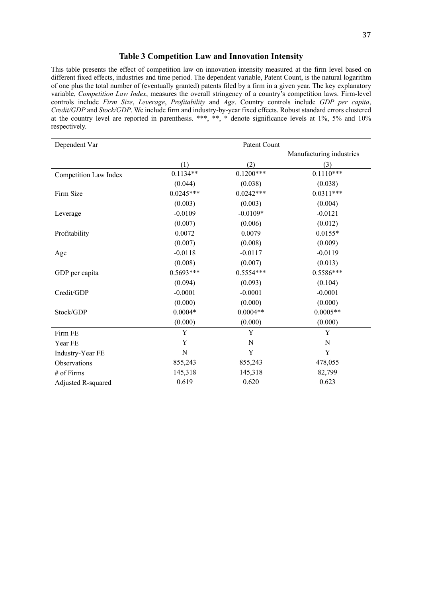#### **Table 3 Competition Law and Innovation Intensity**

This table presents the effect of competition law on innovation intensity measured at the firm level based on different fixed effects, industries and time period. The dependent variable, Patent Count, is the natural logarithm of one plus the total number of (eventually granted) patents filed by a firm in a given year. The key explanatory variable, *Competition Law Index*, measures the overall stringency of a country's competition laws. Firm-level controls include *Firm Size*, *Leverage*, *Profitability* and *Age*. Country controls include *GDP per capita*, *Credit/GDP* and *Stock/GDP*. We include firm and industry-by-year fixed effects. Robust standard errors clustered at the country level are reported in parenthesis. \*\*\*, \*\*, \* denote significance levels at 1%, 5% and 10% respectively.

| Dependent Var         |             | Patent Count |                          |
|-----------------------|-------------|--------------|--------------------------|
|                       |             |              | Manufacturing industries |
|                       | (1)         | (2)          | (3)                      |
| Competition Law Index | $0.1134**$  | $0.1200***$  | $0.1110***$              |
|                       | (0.044)     | (0.038)      | (0.038)                  |
| Firm Size             | $0.0245***$ | $0.0242***$  | $0.0311***$              |
|                       | (0.003)     | (0.003)      | (0.004)                  |
| Leverage              | $-0.0109$   | $-0.0109*$   | $-0.0121$                |
|                       | (0.007)     | (0.006)      | (0.012)                  |
| Profitability         | 0.0072      | 0.0079       | $0.0155*$                |
|                       | (0.007)     | (0.008)      | (0.009)                  |
| Age                   | $-0.0118$   | $-0.0117$    | $-0.0119$                |
|                       | (0.008)     | (0.007)      | (0.013)                  |
| GDP per capita        | $0.5693***$ | $0.5554***$  | $0.5586***$              |
|                       | (0.094)     | (0.093)      | (0.104)                  |
| Credit/GDP            | $-0.0001$   | $-0.0001$    | $-0.0001$                |
|                       | (0.000)     | (0.000)      | (0.000)                  |
| Stock/GDP             | $0.0004*$   | $0.0004**$   | $0.0005**$               |
|                       | (0.000)     | (0.000)      | (0.000)                  |
| Firm FE               | Y           | Y            | Y                        |
| Year FE               | Y           | N            | N                        |
| Industry-Year FE      | N           | Y            | Y                        |
| Observations          | 855,243     | 855,243      | 478,055                  |
| # of Firms            | 145,318     | 145,318      | 82,799                   |
| Adjusted R-squared    | 0.619       | 0.620        | 0.623                    |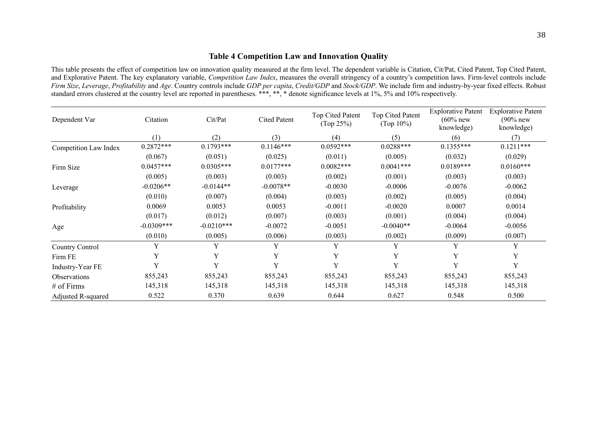## **Table 4 Competition Law and Innovation Quality**

This table presents the effect of competition law on innovation quality measured at the firm level. The dependent variable is Citation, Cit/Pat, Cited Patent, Top Cited Patent, and Explorative Patent. The key explanatory variable, *Competition Law Index*, measures the overall stringency of a country's competition laws. Firm-level controls include *Firm Size*, *Leverage*, *Profitability* and *Age*. Country controls include *GDP per capita*, *Credit/GDP* and *Stock/GDP*. We include firm and industry-by-year fixed effects. Robust standard errors clustered at the country level are reported in parentheses. \*\*\*, \*\*, \* denote significance levels at 1%, 5% and 10% respectively.

| Dependent Var         | Citation     | Cit/Pat      | <b>Cited Patent</b> | Top Cited Patent<br>(Top 25%) | Top Cited Patent<br>(Top $10\%$ ) | <b>Explorative Patent</b><br>$(60\%$ new<br>knowledge) | <b>Explorative Patent</b><br>$(90\%$ new<br>knowledge) |
|-----------------------|--------------|--------------|---------------------|-------------------------------|-----------------------------------|--------------------------------------------------------|--------------------------------------------------------|
|                       | (1)          | (2)          | (3)                 | (4)                           | (5)                               | (6)                                                    | (7)                                                    |
| Competition Law Index | $0.2872***$  | $0.1793***$  | $0.1146***$         | $0.0592***$                   | $0.0288***$                       | $0.1355***$                                            | $0.1211***$                                            |
|                       | (0.067)      | (0.051)      | (0.025)             | (0.011)                       | (0.005)                           | (0.032)                                                | (0.029)                                                |
| Firm Size             | $0.0457***$  | $0.0305***$  | $0.0177***$         | $0.0082***$                   | $0.0041***$                       | $0.0189***$                                            | $0.0160***$                                            |
|                       | (0.005)      | (0.003)      | (0.003)             | (0.002)                       | (0.001)                           | (0.003)                                                | (0.003)                                                |
| Leverage              | $-0.0206**$  | $-0.0144**$  | $-0.0078**$         | $-0.0030$                     | $-0.0006$                         | $-0.0076$                                              | $-0.0062$                                              |
|                       | (0.010)      | (0.007)      | (0.004)             | (0.003)                       | (0.002)                           | (0.005)                                                | (0.004)                                                |
| Profitability         | 0.0069       | 0.0053       | 0.0053              | $-0.0011$                     | $-0.0020$                         | 0.0007                                                 | 0.0014                                                 |
|                       | (0.017)      | (0.012)      | (0.007)             | (0.003)                       | (0.001)                           | (0.004)                                                | (0.004)                                                |
| Age                   | $-0.0309***$ | $-0.0210***$ | $-0.0072$           | $-0.0051$                     | $-0.0040**$                       | $-0.0064$                                              | $-0.0056$                                              |
|                       | (0.010)      | (0.005)      | (0.006)             | (0.003)                       | (0.002)                           | (0.009)                                                | (0.007)                                                |
| Country Control       | Y            | Y            | Y                   | Y                             | Y                                 | Y                                                      | Y                                                      |
| Firm FE               | Y            | Y            | Y                   | Y                             | Y                                 | Y                                                      | Y                                                      |
| Industry-Year FE      | Y            | Y            | Y                   | Y                             | Y                                 | Y                                                      | Y                                                      |
| <b>Observations</b>   | 855,243      | 855,243      | 855,243             | 855,243                       | 855,243                           | 855,243                                                | 855,243                                                |
| $#$ of Firms          | 145,318      | 145,318      | 145,318             | 145,318                       | 145,318                           | 145,318                                                | 145,318                                                |
| Adjusted R-squared    | 0.522        | 0.370        | 0.639               | 0.644                         | 0.627                             | 0.548                                                  | 0.500                                                  |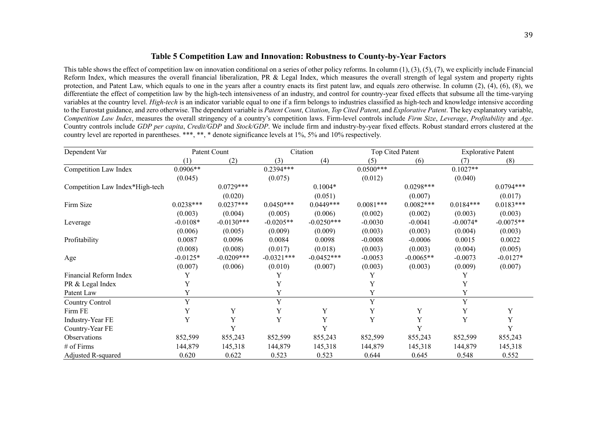### **Table 5 Competition Law and Innovation: Robustness to County-by-Year Factors**

This table shows the effect of competition law on innovation conditional on a series of other policy reforms. In column  $(1)$ ,  $(3)$ ,  $(5)$ ,  $(7)$ , we explicitly include Financial Reform Index, which measures the overall financial liberalization, PR & Legal Index, which measures the overall strength of legal system and property rights protection, and Patent Law, which equals to one in the years after a country enacts its first patent law, and equals zero otherwise. In column (2), (4), (6), (8), we differentiate the effect of competition law by the high-tech intensiveness of an industry, and control for country-year fixed effects that subsume all the time-varying variables at the country level. *High-tech* is an indicator variable equal to one if a firm belongs to industries classified as high-tech and knowledge intensive according to the Eurostat guidance, and zero otherwise. The dependent variable is *Patent Count*, *Citation*, *Top Cited Patent*, and *Explorative Patent*. The key explanatory variable, *Competition Law Index*, measures the overall stringency of a country's competition laws. Firm-level controls include *Firm Size*, *Leverage*, *Profitability* and *Age*. Country controls include *GDP per capita*, *Credit/GDP* and *Stock/GDP*. We include firm and industry-by-year fixed effects. Robust standard errors clustered at the country level are reported in parentheses. \*\*\*, \*\*, \* denote significance levels at 1%, 5% and 10% respectively.

| Dependent Var                   |             | Patent Count |              | Citation     |             | Top Cited Patent |             | <b>Explorative Patent</b> |
|---------------------------------|-------------|--------------|--------------|--------------|-------------|------------------|-------------|---------------------------|
|                                 |             | (2)          | (3)          | (4)          | (5)         | (6)              |             | (8)                       |
| Competition Law Index           | $0.0906**$  |              | $0.2394***$  |              | $0.0500***$ |                  | $0.1027**$  |                           |
|                                 | (0.045)     |              | (0.075)      |              | (0.012)     |                  | (0.040)     |                           |
| Competition Law Index*High-tech |             | $0.0729***$  |              | $0.1004*$    |             | $0.0298***$      |             | $0.0794***$               |
|                                 |             | (0.020)      |              | (0.051)      |             | (0.007)          |             | (0.017)                   |
| Firm Size                       | $0.0238***$ | $0.0237***$  | $0.0450***$  | $0.0449***$  | $0.0081***$ | $0.0082***$      | $0.0184***$ | $0.0183***$               |
|                                 | (0.003)     | (0.004)      | (0.005)      | (0.006)      | (0.002)     | (0.002)          | (0.003)     | (0.003)                   |
| Leverage                        | $-0.0108*$  | $-0.0130***$ | $-0.0205**$  | $-0.0250***$ | $-0.0030$   | $-0.0041$        | $-0.0074*$  | $-0.0075**$               |
|                                 | (0.006)     | (0.005)      | (0.009)      | (0.009)      | (0.003)     | (0.003)          | (0.004)     | (0.003)                   |
| Profitability                   | 0.0087      | 0.0096       | 0.0084       | 0.0098       | $-0.0008$   | $-0.0006$        | 0.0015      | 0.0022                    |
|                                 | (0.008)     | (0.008)      | (0.017)      | (0.018)      | (0.003)     | (0.003)          | (0.004)     | (0.005)                   |
| Age                             | $-0.0125*$  | $-0.0209***$ | $-0.0321***$ | $-0.0452***$ | $-0.0053$   | $-0.0065**$      | $-0.0073$   | $-0.0127*$                |
|                                 | (0.007)     | (0.006)      | (0.010)      | (0.007)      | (0.003)     | (0.003)          | (0.009)     | (0.007)                   |
| Financial Reform Index          |             |              |              |              |             |                  |             |                           |
| PR & Legal Index                |             |              | Y            |              |             |                  | Y           |                           |
| Patent Law                      | Y           |              | Y            |              |             |                  | Y           |                           |
| Country Control                 | Y           |              | $\mathbf Y$  |              | Y           |                  | $\mathbf Y$ |                           |
| Firm FE                         | Y           | Y            | Y            | Y            | Y           | Y                | Y           | Y                         |
| Industry-Year FE                | Y           | Y            | Y            | Y            | Y           | Y                | Y           | Y                         |
| Country-Year FE                 |             |              |              | Y            |             | Y                |             | V                         |
| Observations                    | 852,599     | 855,243      | 852,599      | 855,243      | 852,599     | 855,243          | 852,599     | 855,243                   |
| # of Firms                      | 144,879     | 145,318      | 144,879      | 145,318      | 144,879     | 145,318          | 144,879     | 145,318                   |
| Adjusted R-squared              | 0.620       | 0.622        | 0.523        | 0.523        | 0.644       | 0.645            | 0.548       | 0.552                     |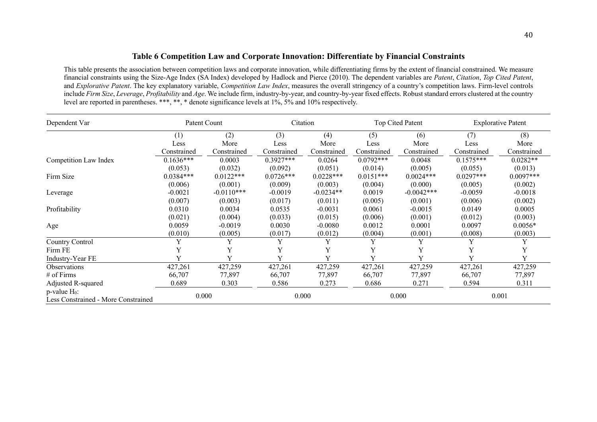## **Table 6 Competition Law and Corporate Innovation: Differentiate by Financial Constraints**

This table presents the association between competition laws and corporate innovation, while differentiating firms by the extent of financial constrained. We measure financial constraints using the Size-Age Index (SA Index) developed by Hadlock and Pierce (2010). The dependent variables are *Patent*, *Citation*, *Top Cited Patent*, and *Explorative Patent*. The key explanatory variable, *Competition Law Index*, measures the overall stringency of a country's competition laws. Firm-level controls include *Firm Size*, *Leverage*, *Profitability* and *Age*. We include firm, industry-by-year, and country-by-year fixed effects. Robust standard errors clustered at the country level are reported in parentheses. \*\*\*, \*\*, \* denote significance levels at 1%, 5% and 10% respectively.

| Dependent Var                                             | Patent Count |              | Citation     |             |              | Top Cited Patent |              | <b>Explorative Patent</b> |
|-----------------------------------------------------------|--------------|--------------|--------------|-------------|--------------|------------------|--------------|---------------------------|
|                                                           | (1)          | (2)          | (3)          | (4)         | (5)          | (6)              | (7)          | (8)                       |
|                                                           | Less         | More         | Less         | More        | Less         | More             | Less         | More                      |
|                                                           | Constrained  | Constrained  | Constrained  | Constrained | Constrained  | Constrained      | Constrained  | Constrained               |
| Competition Law Index                                     | $0.1636***$  | 0.0003       | $0.3927***$  | 0.0264      | $0.0792***$  | 0.0048           | $0.1575***$  | $0.0282**$                |
|                                                           | (0.053)      | (0.032)      | (0.092)      | (0.051)     | (0.014)      | (0.005)          | (0.055)      | (0.013)                   |
| Firm Size                                                 | $0.0384***$  | $0.0122***$  | $0.0726***$  | $0.0228***$ | $0.0151***$  | $0.0024***$      | $0.0297***$  | $0.0097***$               |
|                                                           | (0.006)      | (0.001)      | (0.009)      | (0.003)     | (0.004)      | (0.000)          | (0.005)      | (0.002)                   |
| Leverage                                                  | $-0.0021$    | $-0.0110***$ | $-0.0019$    | $-0.0234**$ | 0.0019       | $-0.0042***$     | $-0.0059$    | $-0.0018$                 |
|                                                           | (0.007)      | (0.003)      | (0.017)      | (0.011)     | (0.005)      | (0.001)          | (0.006)      | (0.002)                   |
| Profitability                                             | 0.0310       | 0.0034       | 0.0535       | $-0.0031$   | 0.0061       | $-0.0015$        | 0.0149       | 0.0005                    |
|                                                           | (0.021)      | (0.004)      | (0.033)      | (0.015)     | (0.006)      | (0.001)          | (0.012)      | (0.003)                   |
| Age                                                       | 0.0059       | $-0.0019$    | 0.0030       | $-0.0080$   | 0.0012       | 0.0001           | 0.0097       | $0.0056*$                 |
|                                                           | (0.010)      | (0.005)      | (0.017)      | (0.012)     | (0.004)      | (0.001)          | (0.008)      | (0.003)                   |
| Country Control                                           | Y            | Y            | Y            | Y           | Y            | Y                | $\mathbf{v}$ |                           |
| Firm FE                                                   |              | Y            | V            | Y           | Y            | Y                |              |                           |
| Industry-Year FE                                          |              | $\mathbf{V}$ | $\mathbf{v}$ | V           | $\mathbf{v}$ | v                | $\mathbf v$  |                           |
| <b>Observations</b>                                       | 427,261      | 427,259      | 427,261      | 427,259     | 427,261      | 427,259          | 427,261      | 427,259                   |
| $#$ of Firms                                              | 66,707       | 77,897       | 66,707       | 77,897      | 66,707       | 77,897           | 66,707       | 77,897                    |
| Adjusted R-squared                                        | 0.689        | 0.303        | 0.586        | 0.273       | 0.686        | 0.271            | 0.594        | 0.311                     |
| $p$ -value $H_0$ :<br>Less Constrained - More Constrained | 0.000        |              | 0.000        |             |              | 0.000            |              | 0.001                     |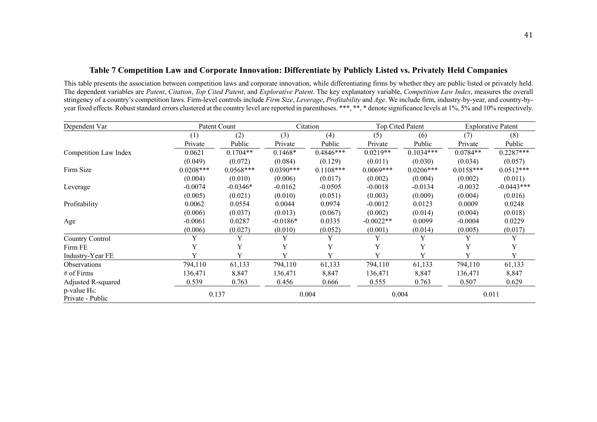## **Table 7 Competition Law and Corporate Innovation: Differentiate by Publicly Listed vs. Privately Held Companies**

This table presents the association between competition laws and corporate innovation, while differentiating firms by whether they are public listed or privately held. The dependent variables are *Patent*, *Citation*, *Top Cited Patent*, and *Explorative Patent*. The key explanatory variable, *Competition Law Index*, measures the overall stringency of a country's competition laws. Firm-level controls include *Firm Size*, *Leverage*, *Profitability* and *Age*. We include firm, industry-by-year, and country-byyear fixed effects. Robust standard errors clustered at the country level are reported in parentheses. \*\*\*, \*\*, \* denote significance levels at 1%, 5% and 10% respectively.

| Dependent Var                          |             | Patent Count |             | Citation    |             | Top Cited Patent |             | <b>Explorative Patent</b> |
|----------------------------------------|-------------|--------------|-------------|-------------|-------------|------------------|-------------|---------------------------|
|                                        | (1)         | (2)          | (3)         | (4)         | (5)         | (6)              | (7)         | (8)                       |
|                                        | Private     | Public       | Private     | Public      | Private     | Public           | Private     | Public                    |
| Competition Law Index                  | 0.0621      | $0.1704**$   | $0.1468*$   | $0.4846***$ | $0.0219**$  | $0.1034***$      | $0.0784**$  | $0.2287***$               |
|                                        | (0.049)     | (0.072)      | (0.084)     | (0.129)     | (0.011)     | (0.030)          | (0.034)     | (0.057)                   |
| Firm Size                              | $0.0208***$ | $0.0568***$  | $0.0390***$ | $0.1108***$ | $0.0069***$ | $0.0206***$      | $0.0158***$ | $0.0512***$               |
|                                        | (0.004)     | (0.010)      | (0.006)     | (0.017)     | (0.002)     | (0.004)          | (0.002)     | (0.011)                   |
| Leverage                               | $-0.0074$   | $-0.0346*$   | $-0.0162$   | $-0.0505$   | $-0.0018$   | $-0.0134$        | $-0.0032$   | $-0.0443***$              |
|                                        | (0.005)     | (0.021)      | (0.010)     | (0.051)     | (0.003)     | (0.009)          | (0.004)     | (0.016)                   |
| Profitability                          | 0.0062      | 0.0554       | 0.0044      | 0.0974      | $-0.0012$   | 0.0123           | 0.0009      | 0.0248                    |
|                                        | (0.006)     | (0.037)      | (0.013)     | (0.067)     | (0.002)     | (0.014)          | (0.004)     | (0.018)                   |
| Age                                    | $-0.0061$   | 0.0287       | $-0.0186*$  | 0.0335      | $-0.0022**$ | 0.0099           | $-0.0004$   | 0.0229                    |
|                                        | (0.006)     | (0.027)      | (0.010)     | (0.052)     | (0.001)     | (0.014)          | (0.005)     | (0.017)                   |
| Country Control                        | Y           | Y            | Y           | Y           | Y           | Y                | Y           | Y                         |
| Firm FE                                |             | Y            | Y           | Y           | Y           |                  | Y           |                           |
| Industry-Year FE                       | v           | Y            | Y           | Y           | Y           | Y                | Y           | Y                         |
| Observations                           | 794,110     | 61,133       | 794,110     | 61,133      | 794,110     | 61,133           | 794,110     | 61,133                    |
| $#$ of Firms                           | 136,471     | 8,847        | 136,471     | 8,847       | 136,471     | 8,847            | 136,471     | 8,847                     |
| Adjusted R-squared                     | 0.539       | 0.763        | 0.456       | 0.666       | 0.555       | 0.763            | 0.507       | 0.629                     |
| $p$ -value $H_0$ :<br>Private - Public |             | 0.137        |             | 0.004       |             | 0.004            |             | 0.011                     |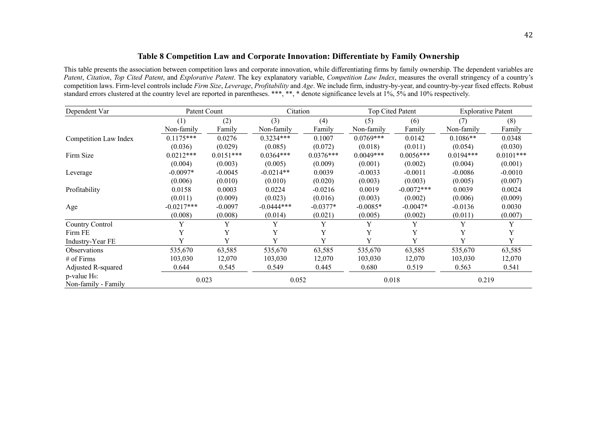## **Table 8 Competition Law and Corporate Innovation: Differentiate by Family Ownership**

This table presents the association between competition laws and corporate innovation, while differentiating firms by family ownership. The dependent variables are *Patent*, *Citation*, *Top Cited Patent*, and *Explorative Patent*. The key explanatory variable, *Competition Law Index*, measures the overall stringency of a country's competition laws. Firm-level controls include *Firm Size*, *Leverage*, *Profitability* and *Age*. We include firm, industry-by-year, and country-by-year fixed effects. Robust standard errors clustered at the country level are reported in parentheses. \*\*\*, \*\*, \* denote significance levels at 1%, 5% and 10% respectively.

| Dependent Var                             |              | Patent Count |              | Citation    |             | Top Cited Patent |             | <b>Explorative Patent</b> |  |
|-------------------------------------------|--------------|--------------|--------------|-------------|-------------|------------------|-------------|---------------------------|--|
|                                           | (1)          | (2)          | (3)          | (4)         | (5)         | (6)              | (7)         | (8)                       |  |
|                                           | Non-family   | Family       | Non-family   | Family      | Non-family  | Family           | Non-family  | Family                    |  |
| Competition Law Index                     | $0.1175***$  | 0.0276       | $0.3234***$  | 0.1007      | $0.0769***$ | 0.0142           | $0.1086**$  | 0.0348                    |  |
|                                           | (0.036)      | (0.029)      | (0.085)      | (0.072)     | (0.018)     | (0.011)          | (0.054)     | (0.030)                   |  |
| Firm Size                                 | $0.0212***$  | $0.0151***$  | $0.0364***$  | $0.0376***$ | $0.0049***$ | $0.0056***$      | $0.0194***$ | $0.0101***$               |  |
|                                           | (0.004)      | (0.003)      | (0.005)      | (0.009)     | (0.001)     | (0.002)          | (0.004)     | (0.001)                   |  |
| Leverage                                  | $-0.0097*$   | $-0.0045$    | $-0.0214**$  | 0.0039      | $-0.0033$   | $-0.0011$        | $-0.0086$   | $-0.0010$                 |  |
|                                           | (0.006)      | (0.010)      | (0.010)      | (0.020)     | (0.003)     | (0.003)          | (0.005)     | (0.007)                   |  |
| Profitability                             | 0.0158       | 0.0003       | 0.0224       | $-0.0216$   | 0.0019      | $-0.0072***$     | 0.0039      | 0.0024                    |  |
|                                           | (0.011)      | (0.009)      | (0.023)      | (0.016)     | (0.003)     | (0.002)          | (0.006)     | (0.009)                   |  |
| Age                                       | $-0.0217***$ | $-0.0097$    | $-0.0444***$ | $-0.0377*$  | $-0.0085*$  | $-0.0047*$       | $-0.0136$   | 0.0030                    |  |
|                                           | (0.008)      | (0.008)      | (0.014)      | (0.021)     | (0.005)     | (0.002)          | (0.011)     | (0.007)                   |  |
| Country Control                           |              | Y            | Y            | Y           | Y           | Y                | Y           | Y                         |  |
| Firm FE                                   | Y            | Y            | Y            | Y           | Y           | Y                | Y           |                           |  |
| Industry-Year FE                          | V            | Y            | Y            | Y           | Y           | Y                | Y           | Y                         |  |
| <b>Observations</b>                       | 535,670      | 63,585       | 535,670      | 63,585      | 535,670     | 63,585           | 535,670     | 63,585                    |  |
| $#$ of Firms                              | 103,030      | 12,070       | 103,030      | 12,070      | 103,030     | 12,070           | 103,030     | 12,070                    |  |
| Adjusted R-squared                        | 0.644        | 0.545        | 0.549        | 0.445       | 0.680       | 0.519            | 0.563       | 0.541                     |  |
| $p$ -value $H_0$ :<br>Non-family - Family | 0.023        |              | 0.052        |             |             | 0.018            | 0.219       |                           |  |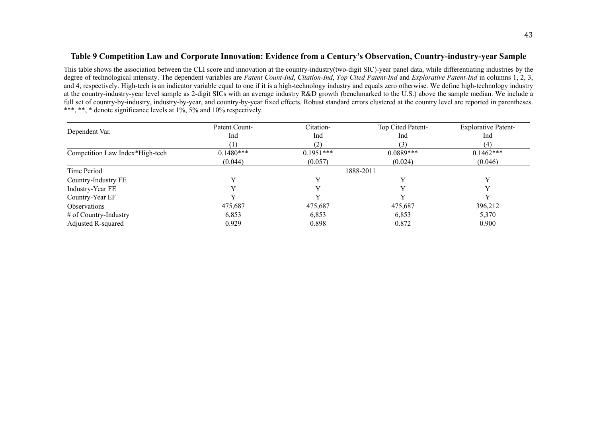## **Table 9 Competition Law and Corporate Innovation: Evidence from a Century's Observation, Country-industry-year Sample**

This table shows the association between the CLI score and innovation at the country-industry(two-digit SIC)-year panel data, while differentiating industries by the degree of technological intensity. The dependent variables are *Patent Count-Ind*, *Citation-Ind*, *Top Cited Patent-Ind* and *Explorative Patent-Ind* in columns 1, 2, 3, and 4, respectively. High-tech is an indicator variable equal to one if it is a high-technology industry and equals zero otherwise. We define high-technology industry at the country-industry-year level sample as 2-digit SICs with an average industry R&D growth (benchmarked to the U.S.) above the sample median. We include a full set of country-by-industry, industry-by-year, and country-by-year fixed effects. Robust standard errors clustered at the country level are reported in parentheses. \*\*\*, \*\*, \* denote significance levels at 1%, 5% and 10% respectively.

|                                 | Patent Count- | Citation-   | Top Cited Patent- | <b>Explorative Patent-</b> |
|---------------------------------|---------------|-------------|-------------------|----------------------------|
| Dependent Var.                  | Ind           | Ind         | Ind               | Ind                        |
|                                 |               | (2)         | 3)                | (4)                        |
| Competition Law Index*High-tech | $0.1480***$   | $0.1951***$ | $0.0889***$       | $0.1462***$                |
|                                 | (0.044)       | (0.057)     | (0.024)           | (0.046)                    |
| Time Period                     |               |             | 1888-2011         |                            |
| Country-Industry FE             |               |             |                   |                            |
| Industry-Year FE                |               |             |                   |                            |
| Country-Year EF                 |               |             |                   |                            |
| <b>Observations</b>             | 475,687       | 475,687     | 475,687           | 396,212                    |
| # of Country-Industry           | 6,853         | 6,853       | 6,853             | 5,370                      |
| Adjusted R-squared              | 0.929         | 0.898       | 0.872             | 0.900                      |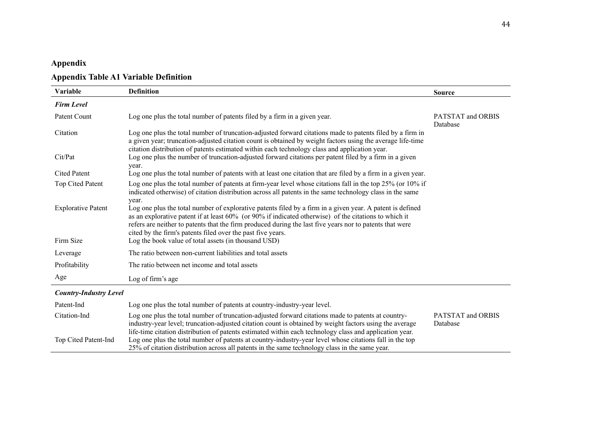# **Appendix**

# **Appendix Table A1 Variable Definition**

| Variable                      | <b>Definition</b>                                                                                                                                                                                                                                                                                                                                                                                            | <b>Source</b>                 |
|-------------------------------|--------------------------------------------------------------------------------------------------------------------------------------------------------------------------------------------------------------------------------------------------------------------------------------------------------------------------------------------------------------------------------------------------------------|-------------------------------|
| <b>Firm Level</b>             |                                                                                                                                                                                                                                                                                                                                                                                                              |                               |
| Patent Count                  | Log one plus the total number of patents filed by a firm in a given year.                                                                                                                                                                                                                                                                                                                                    | PATSTAT and ORBIS<br>Database |
| Citation                      | Log one plus the total number of truncation-adjusted forward citations made to patents filed by a firm in<br>a given year; truncation-adjusted citation count is obtained by weight factors using the average life-time<br>citation distribution of patents estimated within each technology class and application year.                                                                                     |                               |
| Cit/Pat                       | Log one plus the number of truncation-adjusted forward citations per patent filed by a firm in a given<br>year.                                                                                                                                                                                                                                                                                              |                               |
| <b>Cited Patent</b>           | Log one plus the total number of patents with at least one citation that are filed by a firm in a given year.                                                                                                                                                                                                                                                                                                |                               |
| Top Cited Patent              | Log one plus the total number of patents at firm-year level whose citations fall in the top 25% (or 10% if<br>indicated otherwise) of citation distribution across all patents in the same technology class in the same                                                                                                                                                                                      |                               |
| <b>Explorative Patent</b>     | year.<br>Log one plus the total number of explorative patents filed by a firm in a given year. A patent is defined<br>as an explorative patent if at least $60\%$ (or $90\%$ if indicated otherwise) of the citations to which it<br>refers are neither to patents that the firm produced during the last five years nor to patents that were<br>cited by the firm's patents filed over the past five years. |                               |
| Firm Size                     | Log the book value of total assets (in thousand USD)                                                                                                                                                                                                                                                                                                                                                         |                               |
| Leverage                      | The ratio between non-current liabilities and total assets                                                                                                                                                                                                                                                                                                                                                   |                               |
| Profitability                 | The ratio between net income and total assets                                                                                                                                                                                                                                                                                                                                                                |                               |
| Age                           | Log of firm's age                                                                                                                                                                                                                                                                                                                                                                                            |                               |
| <b>Country-Industry Level</b> |                                                                                                                                                                                                                                                                                                                                                                                                              |                               |
| Patent-Ind                    | Log one plus the total number of patents at country-industry-year level.                                                                                                                                                                                                                                                                                                                                     |                               |
| Citation-Ind                  | Log one plus the total number of truncation-adjusted forward citations made to patents at country-<br>industry-year level; truncation-adjusted citation count is obtained by weight factors using the average<br>life-time citation distribution of patents estimated within each technology class and application year.                                                                                     | PATSTAT and ORBIS<br>Database |
| Top Cited Patent-Ind          | Log one plus the total number of patents at country-industry-year level whose citations fall in the top<br>25% of citation distribution across all patents in the same technology class in the same year.                                                                                                                                                                                                    |                               |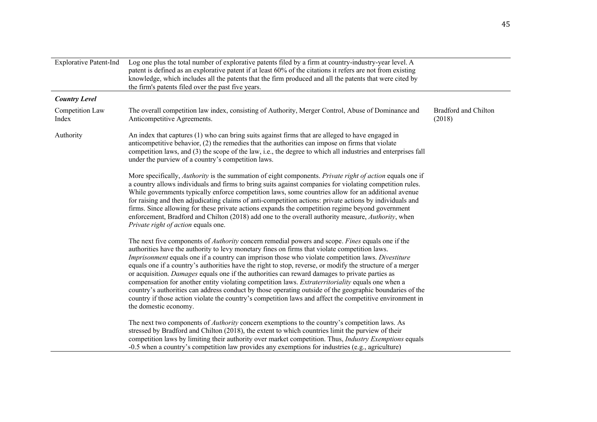| <b>Explorative Patent-Ind</b> | Log one plus the total number of explorative patents filed by a firm at country-industry-year level. A<br>patent is defined as an explorative patent if at least 60% of the citations it refers are not from existing<br>knowledge, which includes all the patents that the firm produced and all the patents that were cited by<br>the firm's patents filed over the past five years.                                                                                                                                                                                                                                                                                                                                                                                                                                                                                                            |                                       |
|-------------------------------|---------------------------------------------------------------------------------------------------------------------------------------------------------------------------------------------------------------------------------------------------------------------------------------------------------------------------------------------------------------------------------------------------------------------------------------------------------------------------------------------------------------------------------------------------------------------------------------------------------------------------------------------------------------------------------------------------------------------------------------------------------------------------------------------------------------------------------------------------------------------------------------------------|---------------------------------------|
| <b>Country Level</b>          |                                                                                                                                                                                                                                                                                                                                                                                                                                                                                                                                                                                                                                                                                                                                                                                                                                                                                                   |                                       |
| Competition Law<br>Index      | The overall competition law index, consisting of Authority, Merger Control, Abuse of Dominance and<br>Anticompetitive Agreements.                                                                                                                                                                                                                                                                                                                                                                                                                                                                                                                                                                                                                                                                                                                                                                 | <b>Bradford and Chilton</b><br>(2018) |
| Authority                     | An index that captures (1) who can bring suits against firms that are alleged to have engaged in<br>anticompetitive behavior, (2) the remedies that the authorities can impose on firms that violate<br>competition laws, and (3) the scope of the law, i.e., the degree to which all industries and enterprises fall<br>under the purview of a country's competition laws.                                                                                                                                                                                                                                                                                                                                                                                                                                                                                                                       |                                       |
|                               | More specifically, Authority is the summation of eight components. Private right of action equals one if<br>a country allows individuals and firms to bring suits against companies for violating competition rules.<br>While governments typically enforce competition laws, some countries allow for an additional avenue<br>for raising and then adjudicating claims of anti-competition actions: private actions by individuals and<br>firms. Since allowing for these private actions expands the competition regime beyond government<br>enforcement, Bradford and Chilton (2018) add one to the overall authority measure, Authority, when<br>Private right of action equals one.                                                                                                                                                                                                          |                                       |
|                               | The next five components of <i>Authority</i> concern remedial powers and scope. <i>Fines</i> equals one if the<br>authorities have the authority to levy monetary fines on firms that violate competition laws.<br><i>Imprisonment</i> equals one if a country can imprison those who violate competition laws. Divestiture<br>equals one if a country's authorities have the right to stop, reverse, or modify the structure of a merger<br>or acquisition. Damages equals one if the authorities can reward damages to private parties as<br>compensation for another entity violating competition laws. Extraterritoriality equals one when a<br>country's authorities can address conduct by those operating outside of the geographic boundaries of the<br>country if those action violate the country's competition laws and affect the competitive environment in<br>the domestic economy. |                                       |
|                               | The next two components of <i>Authority</i> concern exemptions to the country's competition laws. As<br>stressed by Bradford and Chilton (2018), the extent to which countries limit the purview of their<br>competition laws by limiting their authority over market competition. Thus, Industry Exemptions equals<br>$-0.5$ when a country's competition law provides any exemptions for industries (e.g., agriculture)                                                                                                                                                                                                                                                                                                                                                                                                                                                                         |                                       |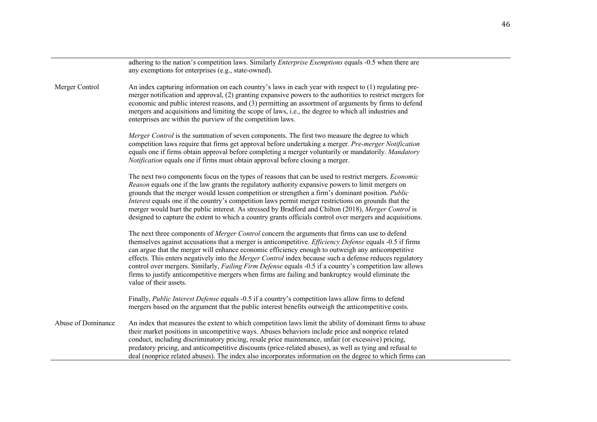|                    | adhering to the nation's competition laws. Similarly <i>Enterprise Exemptions</i> equals -0.5 when there are<br>any exemptions for enterprises (e.g., state-owned).                                                                                                                                                                                                                                                                                                                                                                                                                                                                                                          |
|--------------------|------------------------------------------------------------------------------------------------------------------------------------------------------------------------------------------------------------------------------------------------------------------------------------------------------------------------------------------------------------------------------------------------------------------------------------------------------------------------------------------------------------------------------------------------------------------------------------------------------------------------------------------------------------------------------|
| Merger Control     | An index capturing information on each country's laws in each year with respect to (1) regulating pre-<br>merger notification and approval, (2) granting expansive powers to the authorities to restrict mergers for<br>economic and public interest reasons, and (3) permitting an assortment of arguments by firms to defend<br>mergers and acquisitions and limiting the scope of laws, i.e., the degree to which all industries and<br>enterprises are within the purview of the competition laws.                                                                                                                                                                       |
|                    | <i>Merger Control</i> is the summation of seven components. The first two measure the degree to which<br>competition laws require that firms get approval before undertaking a merger. Pre-merger Notification<br>equals one if firms obtain approval before completing a merger voluntarily or mandatorily. Mandatory<br>Notification equals one if firms must obtain approval before closing a merger.                                                                                                                                                                                                                                                                     |
|                    | The next two components focus on the types of reasons that can be used to restrict mergers. <i>Economic</i><br>Reason equals one if the law grants the regulatory authority expansive powers to limit mergers on<br>grounds that the merger would lessen competition or strengthen a firm's dominant position. Public<br>Interest equals one if the country's competition laws permit merger restrictions on grounds that the<br>merger would hurt the public interest. As stressed by Bradford and Chilton (2018), Merger Control is<br>designed to capture the extent to which a country grants officials control over mergers and acquisitions.                           |
|                    | The next three components of Merger Control concern the arguments that firms can use to defend<br>themselves against accusations that a merger is anticompetitive. <i>Efficiency Defense</i> equals -0.5 if firms<br>can argue that the merger will enhance economic efficiency enough to outweigh any anticompetitive<br>effects. This enters negatively into the Merger Control index because such a defense reduces regulatory<br>control over mergers. Similarly, Failing Firm Defense equals -0.5 if a country's competition law allows<br>firms to justify anticompetitive mergers when firms are failing and bankruptcy would eliminate the<br>value of their assets. |
|                    | Finally, Public Interest Defense equals -0.5 if a country's competition laws allow firms to defend<br>mergers based on the argument that the public interest benefits outweigh the anticompetitive costs.                                                                                                                                                                                                                                                                                                                                                                                                                                                                    |
| Abuse of Dominance | An index that measures the extent to which competition laws limit the ability of dominant firms to abuse<br>their market positions in uncompetitive ways. Abuses behaviors include price and nonprice related<br>conduct, including discriminatory pricing, resale price maintenance, unfair (or excessive) pricing,<br>predatory pricing, and anticompetitive discounts (price-related abuses), as well as tying and refusal to<br>deal (nonprice related abuses). The index also incorporates information on the degree to which firms can                                                                                                                                 |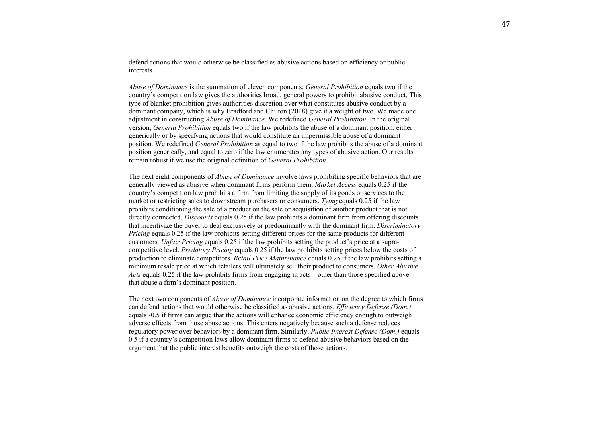defend actions that would otherwise be classified as abusive actions based on efficiency or public interests.

*Abuse of Dominance* is the summation of eleven components. *General Prohibition* equals two if the country's competition law gives the authorities broad, general powers to prohibit abusive conduct. This type of blanket prohibition gives authorities discretion over what constitutes abusive conduct by a dominant company, which is why Bradford and Chilton (2018) give it a weight of two. We made one adjustment in constructing *Abuse of Dominance*. We redefined *General Prohibition*. In the original version, *General Prohibition* equals two if the law prohibits the abuse of a dominant position, either generically or by specifying actions that would constitute an impermissible abuse of a dominant position. We redefined *General Prohibition* as equal to two if the law prohibits the abuse of a dominant position generically, and equal to zero if the law enumerates any types of abusive action. Our results remain robust if we use the original definition of *General Prohibition*.

The next eight components of *Abuse of Dominance* involve laws prohibiting specific behaviors that are generally viewed as abusive when dominant firms perform them. *Market Access* equals 0.25 if the country's competition law prohibits a firm from limiting the supply of its goods or services to the market or restricting sales to downstream purchasers or consumers. *Tying* equals 0.25 if the law prohibits conditioning the sale of a product on the sale or acquisition of another product that is not directly connected. *Discounts* equals 0.25 if the law prohibits a dominant firm from offering discounts that incentivize the buyer to deal exclusively or predominantly with the dominant firm. *Discriminatory Pricing* equals 0.25 if the law prohibits setting different prices for the same products for different customers. *Unfair Pricing* equals 0.25 if the law prohibits setting the product's price at a supracompetitive level. *Predatory Pricing* equals 0.25 if the law prohibits setting prices below the costs of production to eliminate competitors. *Retail Price Maintenance* equals 0.25 if the law prohibits setting a minimum resale price at which retailers will ultimately sell their product to consumers. *Other Abusive Acts* equals 0.25 if the law prohibits firms from engaging in acts—other than those specified above that abuse a firm's dominant position.

The next two components of *Abuse of Dominance* incorporate information on the degree to which firms can defend actions that would otherwise be classified as abusive actions. *Efficiency Defense (Dom.)* equals -0.5 if firms can argue that the actions will enhance economic efficiency enough to outweigh adverse effects from those abuse actions. This enters negatively because such a defense reduces regulatory power over behaviors by a dominant firm. Similarly, *Public Interest Defense (Dom.)* equals - 0.5 if a country's competition laws allow dominant firms to defend abusive behaviors based on the argument that the public interest benefits outweigh the costs of those actions.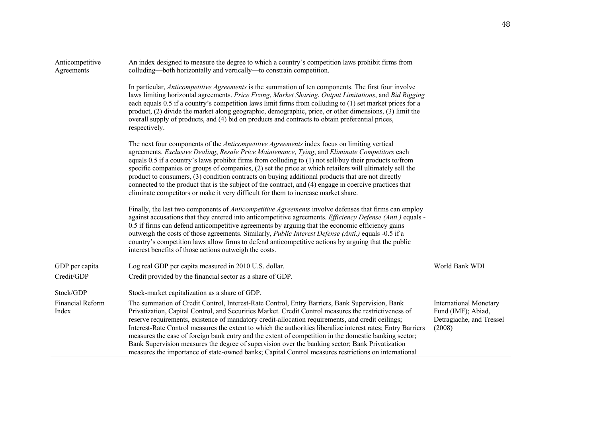| Anticompetitive<br>Agreements | An index designed to measure the degree to which a country's competition laws prohibit firms from<br>colluding—both horizontally and vertically—to constrain competition.                                                                                                                                                                                                                                                                                                                                                                                                                                                                                                                                                                        |                                                                                           |
|-------------------------------|--------------------------------------------------------------------------------------------------------------------------------------------------------------------------------------------------------------------------------------------------------------------------------------------------------------------------------------------------------------------------------------------------------------------------------------------------------------------------------------------------------------------------------------------------------------------------------------------------------------------------------------------------------------------------------------------------------------------------------------------------|-------------------------------------------------------------------------------------------|
|                               | In particular, Anticompetitive Agreements is the summation of ten components. The first four involve<br>laws limiting horizontal agreements. Price Fixing, Market Sharing, Output Limitations, and Bid Rigging<br>each equals 0.5 if a country's competition laws limit firms from colluding to (1) set market prices for a<br>product, (2) divide the market along geographic, demographic, price, or other dimensions, (3) limit the<br>overall supply of products, and (4) bid on products and contracts to obtain preferential prices,<br>respectively.                                                                                                                                                                                      |                                                                                           |
|                               | The next four components of the Anticompetitive Agreements index focus on limiting vertical<br>agreements. Exclusive Dealing, Resale Price Maintenance, Tying, and Eliminate Competitors each<br>equals 0.5 if a country's laws prohibit firms from colluding to (1) not sell/buy their products to/from<br>specific companies or groups of companies, (2) set the price at which retailers will ultimately sell the<br>product to consumers, (3) condition contracts on buying additional products that are not directly<br>connected to the product that is the subject of the contract, and (4) engage in coercive practices that<br>eliminate competitors or make it very difficult for them to increase market share.                       |                                                                                           |
|                               | Finally, the last two components of Anticompetitive Agreements involve defenses that firms can employ<br>against accusations that they entered into anticompetitive agreements. Efficiency Defense (Anti.) equals -<br>0.5 if firms can defend anticompetitive agreements by arguing that the economic efficiency gains<br>outweigh the costs of those agreements. Similarly, <i>Public Interest Defense (Anti.)</i> equals -0.5 if a<br>country's competition laws allow firms to defend anticompetitive actions by arguing that the public<br>interest benefits of those actions outweigh the costs.                                                                                                                                           |                                                                                           |
| GDP per capita                | Log real GDP per capita measured in 2010 U.S. dollar.                                                                                                                                                                                                                                                                                                                                                                                                                                                                                                                                                                                                                                                                                            | World Bank WDI                                                                            |
| Credit/GDP                    | Credit provided by the financial sector as a share of GDP.                                                                                                                                                                                                                                                                                                                                                                                                                                                                                                                                                                                                                                                                                       |                                                                                           |
| Stock/GDP                     | Stock-market capitalization as a share of GDP.                                                                                                                                                                                                                                                                                                                                                                                                                                                                                                                                                                                                                                                                                                   |                                                                                           |
| Financial Reform<br>Index     | The summation of Credit Control, Interest-Rate Control, Entry Barriers, Bank Supervision, Bank<br>Privatization, Capital Control, and Securities Market. Credit Control measures the restrictiveness of<br>reserve requirements, existence of mandatory credit-allocation requirements, and credit ceilings;<br>Interest-Rate Control measures the extent to which the authorities liberalize interest rates; Entry Barriers<br>measures the ease of foreign bank entry and the extent of competition in the domestic banking sector;<br>Bank Supervision measures the degree of supervision over the banking sector; Bank Privatization<br>measures the importance of state-owned banks; Capital Control measures restrictions on international | <b>International Monetary</b><br>Fund (IMF); Abiad,<br>Detragiache, and Tressel<br>(2008) |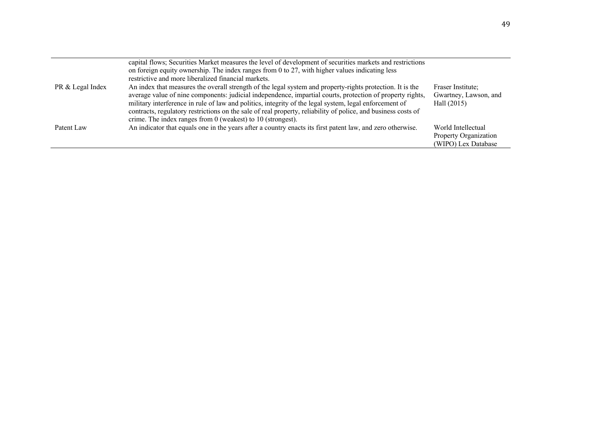|                  | capital flows; Securities Market measures the level of development of securities markets and restrictions<br>on foreign equity ownership. The index ranges from 0 to 27, with higher values indicating less                                                                                                                                                                                                                                                                                                          |                                                                    |
|------------------|----------------------------------------------------------------------------------------------------------------------------------------------------------------------------------------------------------------------------------------------------------------------------------------------------------------------------------------------------------------------------------------------------------------------------------------------------------------------------------------------------------------------|--------------------------------------------------------------------|
|                  | restrictive and more liberalized financial markets.                                                                                                                                                                                                                                                                                                                                                                                                                                                                  |                                                                    |
| PR & Legal Index | An index that measures the overall strength of the legal system and property-rights protection. It is the<br>average value of nine components: judicial independence, impartial courts, protection of property rights,<br>military interference in rule of law and politics, integrity of the legal system, legal enforcement of<br>contracts, regulatory restrictions on the sale of real property, reliability of police, and business costs of<br>crime. The index ranges from $0$ (weakest) to $10$ (strongest). | Fraser Institute:<br>Gwartney, Lawson, and<br>Hall $(2015)$        |
| Patent Law       | An indicator that equals one in the years after a country enacts its first patent law, and zero otherwise.                                                                                                                                                                                                                                                                                                                                                                                                           | World Intellectual<br>Property Organization<br>(WIPO) Lex Database |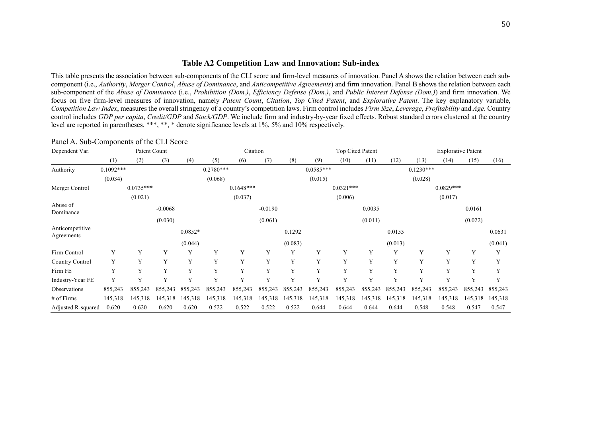## **Table A2 Competition Law and Innovation: Sub-index**

This table presents the association between sub-components of the CLI score and firm-level measures of innovation. Panel A shows the relation between each subcomponent (i.e., *Authority*, *Merger Control*, *Abuse of Dominance*, and *Anticompetitive Agreements*) and firm innovation. Panel B shows the relation between each sub-component of the *Abuse of Dominance* (i.e., *Prohibition (Dom.)*, *Efficiency Defense (Dom.)*, and *Public Interest Defense (Dom.)*) and firm innovation. We focus on five firm-level measures of innovation, namely *Patent Count*, *Citation*, *Top Cited Patent*, and *Explorative Patent*. The key explanatory variable, *Competition Law Index*, measures the overall stringency of a country's competition laws. Firm control includes *Firm Size*, *Leverage*, *Profitability* and *Age*. Country control includes *GDP per capita*, *Credit/GDP* and *Stock/GDP*. We include firm and industry-by-year fixed effects. Robust standard errors clustered at the country level are reported in parentheses. \*\*\*, \*\*, \* denote significance levels at 1%, 5% and 10% respectively.

| Dependent Var.                |             | Patent Count |           |           |             | Citation    |           |         |             | Top Cited Patent |         |         |             | <b>Explorative Patent</b> |         |         |
|-------------------------------|-------------|--------------|-----------|-----------|-------------|-------------|-----------|---------|-------------|------------------|---------|---------|-------------|---------------------------|---------|---------|
|                               | (1)         | (2)          | (3)       | (4)       | (5)         | (6)         | (7)       | (8)     | (9)         | (10)             | (11)    | (12)    | (13)        | (14)                      | (15)    | (16)    |
| Authority                     | $0.1092***$ |              |           |           | $0.2780***$ |             |           |         | $0.0585***$ |                  |         |         | $0.1230***$ |                           |         |         |
|                               | (0.034)     |              |           |           | (0.068)     |             |           |         | (0.015)     |                  |         |         | (0.028)     |                           |         |         |
| Merger Control                |             | $0.0735***$  |           |           |             | $0.1648***$ |           |         |             | $0.0321***$      |         |         |             | $0.0829***$               |         |         |
|                               |             | (0.021)      |           |           |             | (0.037)     |           |         |             | (0.006)          |         |         |             | (0.017)                   |         |         |
| Abuse of<br>Dominance         |             |              | $-0.0068$ |           |             |             | $-0.0190$ |         |             |                  | 0.0035  |         |             |                           | 0.0161  |         |
|                               |             |              | (0.030)   |           |             |             | (0.061)   |         |             |                  | (0.011) |         |             |                           | (0.022) |         |
| Anticompetitive<br>Agreements |             |              |           | $0.0852*$ |             |             |           | 0.1292  |             |                  |         | 0.0155  |             |                           |         | 0.0631  |
|                               |             |              |           | (0.044)   |             |             |           | (0.083) |             |                  |         | (0.013) |             |                           |         | (0.041) |
| Firm Control                  | Y           | Y            | Y         | Y         | Y           | Y           | Y         | Y       | Y           | Y                | Y       | Y       | Y           | Y                         | Y       | Y       |
| Country Control               | Y           | Y            | Y         | Y         | Y           | Y           | Y         | Y       | Y           | Y                | Y       | Y       | Y           | Y                         | Y       | Y       |
| Firm FE                       | Y           | Y            | Y         | Y         | Y           | Y           | Y         | Y       | Y           | Y                | Y       | Y       | Y           | Y                         | Y       | Y       |
| Industry-Year FE              | Y           | Y            | Y         | Y         | Y           | Y           | Y         | Y       | Y           | Y                | Y       | Y       | Y           | Y                         | Y       | Y       |
| Observations                  | 855,243     | 855,243      | 855,243   | 855,243   | 855,243     | 855,243     | 855,243   | 855,243 | 855,243     | 855,243          | 855,243 | 855,243 | 855,243     | 855,243                   | 855,243 | 855,243 |
| # of Firms                    | 145,318     | 145,318      | 145,318   | 145,318   | 145,318     | 145,318     | 145,318   | 145,318 | 145,318     | 145,318          | 145,318 | 145,318 | 145,318     | 145,318                   | 145,318 | 145,318 |
| Adjusted R-squared            | 0.620       | 0.620        | 0.620     | 0.620     | 0.522       | 0.522       | 0.522     | 0.522   | 0.644       | 0.644            | 0.644   | 0.644   | 0.548       | 0.548                     | 0.547   | 0.547   |

#### Panel A. Sub-Components of the CLI Score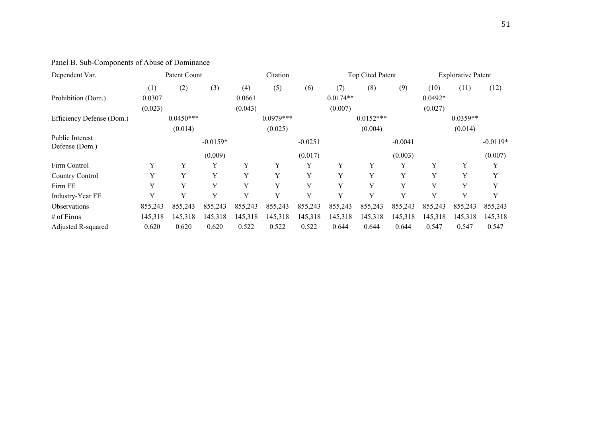| Dependent Var.                    | Patent Count |             |            |         | Citation    |           |            | Top Cited Patent |           |           | <b>Explorative Patent</b> |            |  |
|-----------------------------------|--------------|-------------|------------|---------|-------------|-----------|------------|------------------|-----------|-----------|---------------------------|------------|--|
|                                   | (1)          | (2)         | (3)        | (4)     | (5)         | (6)       | (7)        | (8)              | (9)       | (10)      | (11)                      | (12)       |  |
| Prohibition (Dom.)                | 0.0307       |             |            | 0.0661  |             |           | $0.0174**$ |                  |           | $0.0492*$ |                           |            |  |
|                                   | (0.023)      |             |            | (0.043) |             |           | (0.007)    |                  |           | (0.027)   |                           |            |  |
| Efficiency Defense (Dom.)         |              | $0.0450***$ |            |         | $0.0979***$ |           |            | $0.0152***$      |           |           | $0.0359**$                |            |  |
|                                   |              | (0.014)     |            |         | (0.025)     |           |            | (0.004)          |           |           | (0.014)                   |            |  |
| Public Interest<br>Defense (Dom.) |              |             | $-0.0159*$ |         |             | $-0.0251$ |            |                  | $-0.0041$ |           |                           | $-0.0119*$ |  |
|                                   |              |             | (0.009)    |         |             | (0.017)   |            |                  | (0.003)   |           |                           | (0.007)    |  |
| Firm Control                      | Y            | Y           | Y          | Y       | Y           | Y         | Y          | Y                | Y         | Y         | Y                         | Y          |  |
| Country Control                   | Y            | Y           | Y          | Y       | Y           | Y         | Y          | Y                | Y         | Y         | Y                         | Y          |  |
| Firm FE                           | Y            | Y           | Y          | Y       | Y           | Y         | Y          | Y                | Y         | Y         | Y                         | Y          |  |
| Industry-Year FE                  | Y            | Y           | Y          | Y       | Y           | Y         | V          | Y                | Y         | Y         | Y                         | Y          |  |
| <b>Observations</b>               | 855,243      | 855,243     | 855,243    | 855,243 | 855,243     | 855,243   | 855,243    | 855,243          | 855,243   | 855,243   | 855,243                   | 855,243    |  |
| # of Firms                        | 145,318      | 145,318     | 145,318    | 145,318 | 145,318     | 145,318   | 145,318    | 145,318          | 145,318   | 145,318   | 145,318                   | 145,318    |  |
| Adjusted R-squared                | 0.620        | 0.620       | 0.620      | 0.522   | 0.522       | 0.522     | 0.644      | 0.644            | 0.644     | 0.547     | 0.547                     | 0.547      |  |

Panel B. Sub-Components of Abuse of Dominance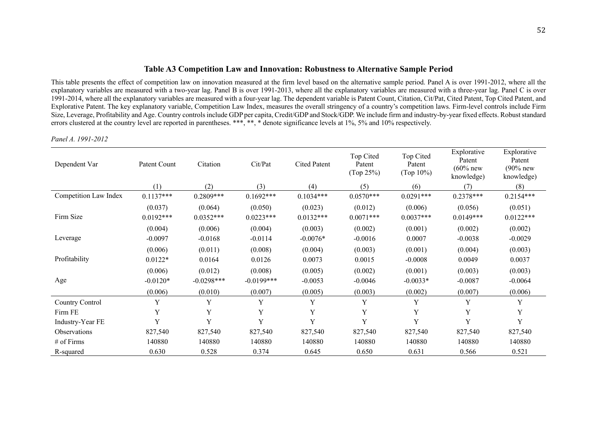#### **Table A3 Competition Law and Innovation: Robustness to Alternative Sample Period**

This table presents the effect of competition law on innovation measured at the firm level based on the alternative sample period. Panel A is over 1991-2012, where all the explanatory variables are measured with a two-year lag. Panel B is over 1991-2013, where all the explanatory variables are measured with a three-year lag. Panel C is over 1991-2014, where all the explanatory variables are measured with a four-year lag. The dependent variable is Patent Count, Citation, Cit/Pat, Cited Patent, Top Cited Patent, and Explorative Patent. The key explanatory variable, Competition Law Index, measures the overall stringency of a country's competition laws. Firm-level controls include Firm Size, Leverage, Profitability and Age. Country controls include GDP per capita, Credit/GDP and Stock/GDP. We include firm and industry-by-year fixed effects. Robust standard errors clustered at the country level are reported in parentheses. \*\*\*, \*\*, \* denote significance levels at 1%, 5% and 10% respectively.

#### *Panel A. 1991-2012*

| Dependent Var         | Patent Count           | Citation               | Cit/Pat                | <b>Cited Patent</b>    | Top Cited<br>Patent<br>(Top 25%) | Top Cited<br>Patent<br>(Top 10%) | Explorative<br>Patent<br>$(60\%$ new<br>knowledge) | Explorative<br>Patent<br>$(90%$ new<br>knowledge) |
|-----------------------|------------------------|------------------------|------------------------|------------------------|----------------------------------|----------------------------------|----------------------------------------------------|---------------------------------------------------|
|                       | (1)                    | (2)                    | (3)                    | (4)                    | (5)                              | (6)                              | (7)                                                | (8)                                               |
| Competition Law Index | $0.1137***$            | $0.2809***$            | $0.1692***$            | $0.1034***$            | $0.0570***$                      | $0.0291***$                      | $0.2378***$                                        | $0.2154***$                                       |
| Firm Size             | (0.037)<br>$0.0192***$ | (0.064)<br>$0.0352***$ | (0.050)<br>$0.0223***$ | (0.023)<br>$0.0132***$ | (0.012)<br>$0.0071***$           | (0.006)<br>$0.0037***$           | (0.056)<br>$0.0149***$                             | (0.051)<br>$0.0122***$                            |
|                       | (0.004)                | (0.006)                | (0.004)                | (0.003)                | (0.002)                          | (0.001)                          | (0.002)                                            | (0.002)                                           |
| Leverage              | $-0.0097$              | $-0.0168$              | $-0.0114$              | $-0.0076*$             | $-0.0016$                        | 0.0007                           | $-0.0038$                                          | $-0.0029$                                         |
|                       | (0.006)                | (0.011)                | (0.008)                | (0.004)                | (0.003)                          | (0.001)                          | (0.004)                                            | (0.003)                                           |
| Profitability         | $0.0122*$              | 0.0164                 | 0.0126                 | 0.0073                 | 0.0015                           | $-0.0008$                        | 0.0049                                             | 0.0037                                            |
|                       | (0.006)                | (0.012)                | (0.008)                | (0.005)                | (0.002)                          | (0.001)                          | (0.003)                                            | (0.003)                                           |
| Age                   | $-0.0120*$             | $-0.0298***$           | $-0.0199***$           | $-0.0053$              | $-0.0046$                        | $-0.0033*$                       | $-0.0087$                                          | $-0.0064$                                         |
|                       | (0.006)                | (0.010)                | (0.007)                | (0.005)                | (0.003)                          | (0.002)                          | (0.007)                                            | (0.006)                                           |
| Country Control       | Y                      | Y                      | Y                      | Y                      | Y                                | Y                                | Y                                                  | Y                                                 |
| Firm FE               | Y                      | Y                      | Y                      | Y                      | Y                                | Y                                | Y                                                  | Y                                                 |
| Industry-Year FE      | Y                      | Y                      | Y                      | Y                      | Y                                | Y                                | Y                                                  | Y                                                 |
| <b>Observations</b>   | 827,540                | 827,540                | 827,540                | 827,540                | 827,540                          | 827,540                          | 827,540                                            | 827,540                                           |
| $#$ of Firms          | 140880                 | 140880                 | 140880                 | 140880                 | 140880                           | 140880                           | 140880                                             | 140880                                            |
| R-squared             | 0.630                  | 0.528                  | 0.374                  | 0.645                  | 0.650                            | 0.631                            | 0.566                                              | 0.521                                             |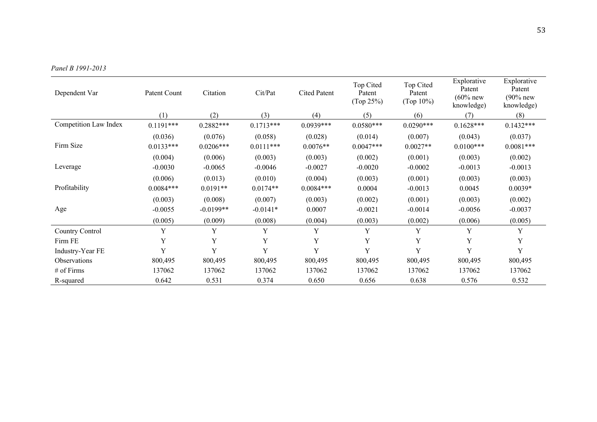| Dependent Var         | Patent Count           | Citation               | Cit/Pat                | <b>Cited Patent</b>   | Top Cited<br>Patent<br>(Top 25%) | Top Cited<br>Patent<br>(Top 10%) | Explorative<br>Patent<br>$(60\%$ new<br>knowledge) | Explorative<br>Patent<br>$(90%$ new<br>knowledge) |
|-----------------------|------------------------|------------------------|------------------------|-----------------------|----------------------------------|----------------------------------|----------------------------------------------------|---------------------------------------------------|
|                       | (1)                    | (2)                    | (3)                    | (4)                   | (5)                              | (6)                              | (7)                                                | (8)                                               |
| Competition Law Index | $0.1191***$            | $0.2882***$            | $0.1713***$            | $0.0939***$           | $0.0580***$                      | $0.0290***$                      | $0.1628***$                                        | $0.1432***$                                       |
| Firm Size             | (0.036)<br>$0.0133***$ | (0.076)<br>$0.0206***$ | (0.058)<br>$0.0111***$ | (0.028)<br>$0.0076**$ | (0.014)<br>$0.0047***$           | (0.007)<br>$0.0027**$            | (0.043)<br>$0.0100***$                             | (0.037)<br>$0.0081***$                            |
|                       | (0.004)                | (0.006)                | (0.003)                | (0.003)               | (0.002)                          | (0.001)                          | (0.003)                                            | (0.002)                                           |
| Leverage              | $-0.0030$              | $-0.0065$              | $-0.0046$              | $-0.0027$             | $-0.0020$                        | $-0.0002$                        | $-0.0013$                                          | $-0.0013$                                         |
|                       | (0.006)                | (0.013)                | (0.010)                | (0.004)               | (0.003)                          | (0.001)                          | (0.003)                                            | (0.003)                                           |
| Profitability         | $0.0084***$            | $0.0191**$             | $0.0174**$             | $0.0084***$           | 0.0004                           | $-0.0013$                        | 0.0045                                             | $0.0039*$                                         |
|                       | (0.003)                | (0.008)                | (0.007)                | (0.003)               | (0.002)                          | (0.001)                          | (0.003)                                            | (0.002)                                           |
| Age                   | $-0.0055$              | $-0.0199**$            | $-0.0141*$             | 0.0007                | $-0.0021$                        | $-0.0014$                        | $-0.0056$                                          | $-0.0037$                                         |
|                       | (0.005)                | (0.009)                | (0.008)                | (0.004)               | (0.003)                          | (0.002)                          | (0.006)                                            | (0.005)                                           |
| Country Control       | Y                      | Y                      | Y                      | Y                     | Y                                | Y                                | Y                                                  | Y                                                 |
| Firm FE               | Y                      | Y                      | Y                      | Y                     | Y                                | Y                                | Y                                                  | Y                                                 |
| Industry-Year FE      | Y                      | Y                      | Y                      | Y                     | Y                                | Y                                | Y                                                  | Y                                                 |
| <b>Observations</b>   | 800,495                | 800,495                | 800,495                | 800,495               | 800,495                          | 800,495                          | 800,495                                            | 800,495                                           |
| # of Firms            | 137062                 | 137062                 | 137062                 | 137062                | 137062                           | 137062                           | 137062                                             | 137062                                            |
| R-squared             | 0.642                  | 0.531                  | 0.374                  | 0.650                 | 0.656                            | 0.638                            | 0.576                                              | 0.532                                             |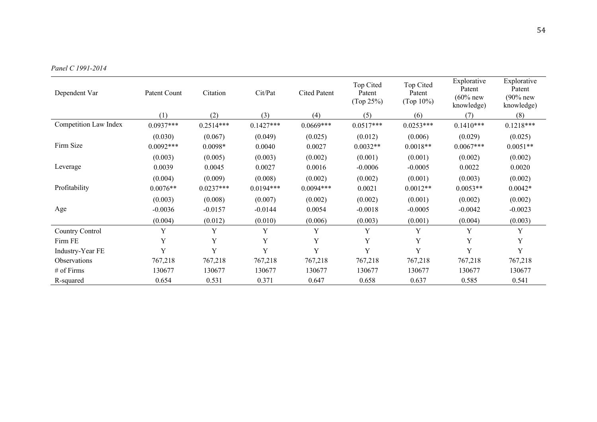| Dependent Var              | Patent Count           | Citation             | Cit/Pat           | <b>Cited Patent</b> | Top Cited<br>Patent<br>(Top 25%) | Top Cited<br>Patent<br>(Top 10%) | Explorative<br>Patent<br>$(60\%$ new<br>knowledge) | Explorative<br>Patent<br>$(90%$ new<br>knowledge) |
|----------------------------|------------------------|----------------------|-------------------|---------------------|----------------------------------|----------------------------------|----------------------------------------------------|---------------------------------------------------|
|                            | (1)                    | (2)                  | (3)               | (4)                 | (5)                              | (6)                              | (7)                                                | (8)                                               |
| Competition Law Index      | $0.0937***$            | $0.2514***$          | $0.1427***$       | $0.0669***$         | $0.0517***$                      | $0.0253***$                      | $0.1410***$                                        | $0.1218***$                                       |
| Firm Size                  | (0.030)<br>$0.0092***$ | (0.067)<br>$0.0098*$ | (0.049)<br>0.0040 | (0.025)<br>0.0027   | (0.012)<br>$0.0032**$            | (0.006)<br>$0.0018**$            | (0.029)<br>$0.0067***$                             | (0.025)<br>$0.0051**$                             |
|                            | (0.003)                | (0.005)              | (0.003)           | (0.002)             | (0.001)                          | (0.001)                          | (0.002)                                            | (0.002)                                           |
| Leverage                   | 0.0039                 | 0.0045               | 0.0027            | 0.0016              | $-0.0006$                        | $-0.0005$                        | 0.0022                                             | 0.0020                                            |
|                            | (0.004)                | (0.009)              | (0.008)           | (0.002)             | (0.002)                          | (0.001)                          | (0.003)                                            | (0.002)                                           |
| Profitability              | $0.0076**$             | $0.0237***$          | $0.0194***$       | $0.0094***$         | 0.0021                           | $0.0012**$                       | $0.0053**$                                         | $0.0042*$                                         |
|                            | (0.003)                | (0.008)              | (0.007)           | (0.002)             | (0.002)                          | (0.001)                          | (0.002)                                            | (0.002)                                           |
| Age                        | $-0.0036$              | $-0.0157$            | $-0.0144$         | 0.0054              | $-0.0018$                        | $-0.0005$                        | $-0.0042$                                          | $-0.0023$                                         |
|                            | (0.004)                | (0.012)              | (0.010)           | (0.006)             | (0.003)                          | (0.001)                          | (0.004)                                            | (0.003)                                           |
| Country Control            | Y                      | Y                    | Y                 | Y                   | Y                                | Y                                | Y                                                  | Y                                                 |
| Firm FE                    | Y                      | Y                    | Y                 | Y                   | Y                                | Y                                | Y                                                  | Y                                                 |
| Industry-Year FE           | Y                      | Y                    | Y                 | Y                   | Y                                | Y                                | Y                                                  | Y                                                 |
| <i><b>Observations</b></i> | 767,218                | 767,218              | 767,218           | 767,218             | 767,218                          | 767,218                          | 767,218                                            | 767,218                                           |
| # of Firms                 | 130677                 | 130677               | 130677            | 130677              | 130677                           | 130677                           | 130677                                             | 130677                                            |
| R-squared                  | 0.654                  | 0.531                | 0.371             | 0.647               | 0.658                            | 0.637                            | 0.585                                              | 0.541                                             |